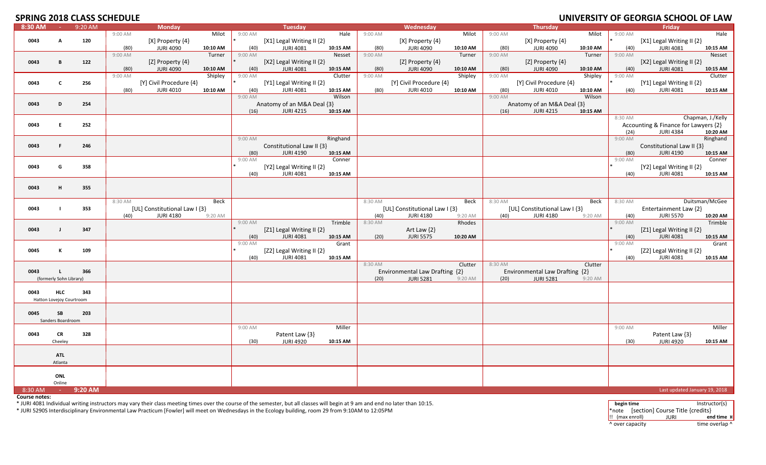# **SPRING 2018 CLASS SCHEDLILE**

|         |                          | JE NINU ZUIB CLAJJ JUHLDULL |         |                               |          |           |                               |          |         |                                |          |           |                                |          |         | <b>UNIVERSITI OF GEORGIA SCHOOL OF LAW</b> |                   |
|---------|--------------------------|-----------------------------|---------|-------------------------------|----------|-----------|-------------------------------|----------|---------|--------------------------------|----------|-----------|--------------------------------|----------|---------|--------------------------------------------|-------------------|
| 8:30 AM | <b>Contract</b>          | 9:20 AM                     |         | <b>Monday</b>                 |          |           | Tuesday                       |          |         | Wednesday                      |          |           | Thursday                       |          |         | Friday                                     |                   |
|         |                          |                             | 9:00 AM |                               | Milot    | 9:00 AM   |                               | Hale     | 9:00 AM |                                | Milot    | 9:00 AM   |                                | Milot    | 9:00 AM |                                            | Hale              |
| 0043    | A                        | 120                         |         | [X] Property {4}              |          |           | [X1] Legal Writing II {2}     |          |         | [X] Property {4}               |          |           | $[X]$ Property $\{4\}$         |          |         | [X1] Legal Writing II {2}                  |                   |
|         |                          |                             |         |                               |          |           |                               |          |         |                                |          |           |                                |          |         |                                            |                   |
|         |                          |                             | (80)    | <b>JURI 4090</b>              | 10:10 AM | (40)      | <b>JURI 4081</b>              | 10:15 AM | (80)    | <b>JURI 4090</b>               | 10:10 AM | (80)      | <b>JURI 4090</b>               | 10:10 AM | (40)    | <b>JURI 4081</b>                           | 10:15 AM          |
|         |                          |                             | 9:00 AM |                               | Turner   | 9:00 AM   |                               | Nesset   | 9:00 AM |                                | Turner   | 9:00 AM   |                                | Turner   | 9:00 AM |                                            | Nesset            |
| 0043    | В                        | 122                         |         | [Z] Property {4}              |          |           | [X2] Legal Writing II $\{2\}$ |          |         | [Z] Property {4}               |          |           | [Z] Property $\{4\}$           |          |         | [X2] Legal Writing II {2}                  |                   |
|         |                          |                             |         |                               | 10:10 AM |           |                               | 10:15 AM |         |                                | 10:10 AM |           |                                |          |         |                                            |                   |
|         |                          |                             | (80)    | <b>JURI 4090</b>              |          | (40)      | <b>JURI 4081</b>              |          | (80)    | <b>JURI 4090</b>               |          | (80)      | <b>JURI 4090</b>               | 10:10 AM | (40)    | <b>JURI 4081</b>                           | 10:15 AM          |
|         |                          |                             | 9:00 AM |                               | Shipley  | 9:00 AM   |                               | Clutter  | 9:00 AM |                                | Shipley  | 9:00 AM   |                                | Shipley  | 9:00 AM |                                            | Clutter           |
| 0043    | $\mathbf{c}$             | 256                         |         | [Y] Civil Procedure {4}       |          |           | [Y1] Legal Writing II {2}     |          |         | [Y] Civil Procedure {4}        |          |           | [Y] Civil Procedure {4}        |          |         | [Y1] Legal Writing II {2}                  |                   |
|         |                          |                             | (80)    | <b>JURI 4010</b>              | 10:10 AM | (40)      | <b>JURI 4081</b>              | 10:15 AM | (80)    | <b>JURI 4010</b>               | 10:10 AM | (80)      | JURI 4010                      | 10:10 AM | (40)    | <b>JURI 4081</b>                           | 10:15 AM          |
|         |                          |                             |         |                               |          | $9:00$ AM |                               |          |         |                                |          | $9:00$ AM |                                |          |         |                                            |                   |
|         |                          |                             |         |                               |          |           |                               | Wilson   |         |                                |          |           |                                | Wilson   |         |                                            |                   |
| 0043    | D                        | 254                         |         |                               |          |           | Anatomy of an M&A Deal {3}    |          |         |                                |          |           | Anatomy of an M&A Deal {3}     |          |         |                                            |                   |
|         |                          |                             |         |                               |          | (16)      | <b>JURI 4215</b>              | 10:15 AM |         |                                |          | (16)      | <b>JURI 4215</b>               | 10:15 AM |         |                                            |                   |
|         |                          |                             |         |                               |          |           |                               |          |         |                                |          |           |                                |          | 8:30 AM |                                            | Chapman, J./Kelly |
|         | E.                       |                             |         |                               |          |           |                               |          |         |                                |          |           |                                |          |         |                                            |                   |
| 0043    |                          | 252                         |         |                               |          |           |                               |          |         |                                |          |           |                                |          |         | Accounting & Finance for Lawyers {2}       |                   |
|         |                          |                             |         |                               |          |           |                               |          |         |                                |          |           |                                |          | (24)    | <b>JURI 4384</b>                           | 10:20 AM          |
|         |                          |                             |         |                               |          | 9:00 AM   |                               | Ringhand |         |                                |          |           |                                |          | 9:00 AM |                                            | Ringhand          |
| 0043    | F.                       | 246                         |         |                               |          |           | Constitutional Law II {3}     |          |         |                                |          |           |                                |          |         | Constitutional Law II {3}                  |                   |
|         |                          |                             |         |                               |          |           | <b>JURI 4190</b>              |          |         |                                |          |           |                                |          |         | <b>JURI 4190</b>                           |                   |
|         |                          |                             |         |                               |          | (80)      |                               | 10:15 AM |         |                                |          |           |                                |          | (80)    |                                            | 10:15 AM          |
|         |                          |                             |         |                               |          | 9:00 AM   |                               | Conner   |         |                                |          |           |                                |          | 9:00 AM |                                            | Conner            |
| 0043    | G                        | 358                         |         |                               |          |           | [Y2] Legal Writing II {2}     |          |         |                                |          |           |                                |          |         | [Y2] Legal Writing II {2}                  |                   |
|         |                          |                             |         |                               |          | (40)      | <b>JURI 4081</b>              | 10:15 AM |         |                                |          |           |                                |          | (40)    | <b>JURI 4081</b>                           | 10:15 AM          |
|         |                          |                             |         |                               |          |           |                               |          |         |                                |          |           |                                |          |         |                                            |                   |
|         |                          |                             |         |                               |          |           |                               |          |         |                                |          |           |                                |          |         |                                            |                   |
| 0043    | H                        | 355                         |         |                               |          |           |                               |          |         |                                |          |           |                                |          |         |                                            |                   |
|         |                          |                             |         |                               |          |           |                               |          |         |                                |          |           |                                |          |         |                                            |                   |
|         |                          |                             | 8:30 AM |                               | Beck     |           |                               |          | 8:30 AM |                                | Beck     | 8:30 AM   |                                | Beck     | 8:30 AM |                                            | Duitsman/McGee    |
|         |                          |                             |         |                               |          |           |                               |          |         |                                |          |           |                                |          |         |                                            |                   |
| 0043    |                          | 353                         |         | [UL] Constitutional Law I {3} |          |           |                               |          |         | [UL] Constitutional Law I {3}  |          |           | [UL] Constitutional Law I {3}  |          |         | Entertainment Law {2}                      |                   |
|         |                          |                             | (40)    | <b>JURI 4180</b>              | 9:20 AM  |           |                               |          | (40)    | <b>JURI 4180</b>               | 9:20 AM  | (40)      | <b>JURI 4180</b>               | 9:20 AM  | (40)    | <b>JURI 5570</b>                           | 10:20 AM          |
|         |                          |                             |         |                               |          | 9:00 AM   |                               | Trimble  | 8:30 AM |                                | Rhodes   |           |                                |          | 9:00 AM |                                            | Trimble           |
| 0043    | $\mathbf{I}$             | 347                         |         |                               |          |           | [Z1] Legal Writing II {2}     |          |         | Art Law $\{2\}$                |          |           |                                |          |         | [ $Z1$ ] Legal Writing II $\{2\}$          |                   |
|         |                          |                             |         |                               |          |           | <b>JURI 4081</b>              |          |         | <b>JURI 5575</b>               |          |           |                                |          |         | <b>JURI 4081</b>                           |                   |
|         |                          |                             |         |                               |          | (40)      |                               | 10:15 AM | (20)    |                                | 10:20 AM |           |                                |          | (40)    |                                            | 10:15 AM          |
|         |                          |                             |         |                               |          | $9:00$ AM |                               | Grant    |         |                                |          |           |                                |          | 9:00 AM |                                            | Grant             |
| 0045    | K                        | 109                         |         |                               |          |           | [Z2] Legal Writing II {2}     |          |         |                                |          |           |                                |          |         | [Z2] Legal Writing II {2}                  |                   |
|         |                          |                             |         |                               |          | (40)      | <b>JURI 4081</b>              | 10:15 AM |         |                                |          |           |                                |          | (40)    | <b>JURI 4081</b>                           | 10:15 AM          |
|         |                          |                             |         |                               |          |           |                               |          | 8:30 AM |                                | Clutter  | 8:30 AM   |                                | Clutter  |         |                                            |                   |
|         |                          |                             |         |                               |          |           |                               |          |         |                                |          |           |                                |          |         |                                            |                   |
| 0043    | $\mathbf{L}$             | 366                         |         |                               |          |           |                               |          |         | Environmental Law Drafting {2} |          |           | Environmental Law Drafting {2} |          |         |                                            |                   |
|         | (formerly Sohn Library)  |                             |         |                               |          |           |                               |          | (20)    | <b>JURI 5281</b>               | 9:20 AM  | (20)      | <b>JURI 5281</b>               | 9:20 AM  |         |                                            |                   |
|         |                          |                             |         |                               |          |           |                               |          |         |                                |          |           |                                |          |         |                                            |                   |
| 0043    | <b>HLC</b>               | 343                         |         |                               |          |           |                               |          |         |                                |          |           |                                |          |         |                                            |                   |
|         |                          |                             |         |                               |          |           |                               |          |         |                                |          |           |                                |          |         |                                            |                   |
|         | Hatton Lovejoy Courtroom |                             |         |                               |          |           |                               |          |         |                                |          |           |                                |          |         |                                            |                   |
|         |                          |                             |         |                               |          |           |                               |          |         |                                |          |           |                                |          |         |                                            |                   |
| 0045    | SB                       | 203                         |         |                               |          |           |                               |          |         |                                |          |           |                                |          |         |                                            |                   |
|         | Sanders Boardroom        |                             |         |                               |          |           |                               |          |         |                                |          |           |                                |          |         |                                            |                   |
|         |                          |                             |         |                               |          |           |                               |          |         |                                |          |           |                                |          |         |                                            |                   |
|         |                          |                             |         |                               |          | 9:00 AM   |                               | Miller   |         |                                |          |           |                                |          | 9:00 AM |                                            | Miller            |
| 0043    | <b>CR</b>                | 328                         |         |                               |          |           | Patent Law {3}                |          |         |                                |          |           |                                |          |         | Patent Law {3}                             |                   |
|         | Cheeley                  |                             |         |                               |          | (30)      | <b>JURI 4920</b>              | 10:15 AM |         |                                |          |           |                                |          | (30)    | <b>JURI 4920</b>                           | 10:15 AM          |
|         |                          |                             |         |                               |          |           |                               |          |         |                                |          |           |                                |          |         |                                            |                   |
|         |                          |                             |         |                               |          |           |                               |          |         |                                |          |           |                                |          |         |                                            |                   |
|         | <b>ATL</b>               |                             |         |                               |          |           |                               |          |         |                                |          |           |                                |          |         |                                            |                   |
|         | Atlanta                  |                             |         |                               |          |           |                               |          |         |                                |          |           |                                |          |         |                                            |                   |
|         |                          |                             |         |                               |          |           |                               |          |         |                                |          |           |                                |          |         |                                            |                   |
|         | ONL                      |                             |         |                               |          |           |                               |          |         |                                |          |           |                                |          |         |                                            |                   |
|         |                          |                             |         |                               |          |           |                               |          |         |                                |          |           |                                |          |         |                                            |                   |
|         | Online                   |                             |         |                               |          |           |                               |          |         |                                |          |           |                                |          |         |                                            |                   |
| 8:30 AM | $\sim 10^{-1}$           | 9:20 AM                     |         |                               |          |           |                               |          |         |                                |          |           |                                |          |         | Last updated January 19, 2018              |                   |
|         |                          |                             |         |                               |          |           |                               |          |         |                                |          |           |                                |          |         |                                            |                   |

**Course notes:**

\* JURI 4081 Individual writing instructors may vary their class meeting times over the course of the semester, but all classes will begin at <sup>9</sup> am and end no later than 10:15.

\* JURI 5290S Interdisciplinary Environmental Law Practicum [Fowler] will meet on Wednesdays in the Ecology building, room <sup>29</sup> from 9:10AM to 12:05PM

**begin time** Instructor(s) \*note [section] Course Title {credits} !! (max enroll) JURI **end time ¤** ^ over capacity dime overlap ^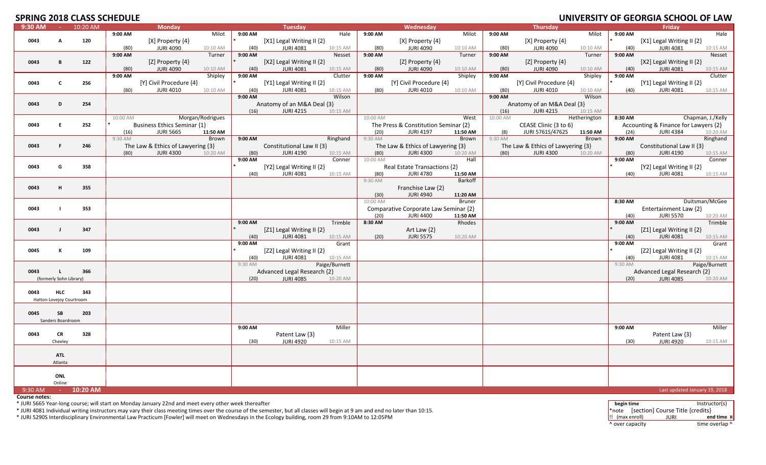# **SPRING 2018 CLASS SCHEDLILE**

| <u>JI INITU</u> |                          |          | LUIU CLAJJ JUHLDULL |                                   |                  |         |                                   |               |          |                                       |                |          |                                       |              |         | <u>UNIVERSITI UI GEURUM SCHUUL UI EAN</u> |                   |
|-----------------|--------------------------|----------|---------------------|-----------------------------------|------------------|---------|-----------------------------------|---------------|----------|---------------------------------------|----------------|----------|---------------------------------------|--------------|---------|-------------------------------------------|-------------------|
| 9:30 AM         | $\sim 100$               | 10:20 AM |                     | <b>Monday</b>                     |                  |         | <b>Tuesday</b>                    |               |          | Wednesday                             |                |          | <b>Thursday</b>                       |              |         | Fridav                                    |                   |
|                 |                          |          | 9:00 AM             |                                   | Milot            | 9:00 AM |                                   | Hale          | 9:00 AM  |                                       | Milot          | 9:00 AM  |                                       | Milot        | 9:00 AM |                                           | Hale              |
| 0043            | A                        | 120      |                     | [X] Property {4}                  |                  |         | [X1] Legal Writing II {2}         |               |          | [X] Property {4}                      |                |          | $[X]$ Property $\{4\}$                |              |         | [X1] Legal Writing II {2}                 |                   |
|                 |                          |          | (80)                | <b>JURI 4090</b>                  | 10:10 AM         | (40)    | <b>JURI 4081</b>                  | 10:15 AM      | (80)     | <b>JURI 4090</b>                      | 10:10 AM       | (80)     | <b>JURI 4090</b>                      | 10:10 AM     | (40)    | <b>JURI 4081</b>                          | 10:15 AM          |
|                 |                          |          | 9:00 AM             |                                   | Turner           | 9:00 AM |                                   | Nesset        | 9:00 AM  |                                       | Turner         | 9:00 AM  |                                       | Turner       | 9:00 AM |                                           | Nesset            |
| 0043            | в                        | 122      |                     | [Z] Property $\{4\}$              |                  |         | [X2] Legal Writing II $\{2\}$     |               |          | [Z] Property {4}                      |                |          | [Z] Property $\{4\}$                  |              |         | [X2] Legal Writing II $\{2\}$             |                   |
|                 |                          |          | (80)                | <b>JURI 4090</b>                  | 10:10 AM         | (40)    | <b>JURI 4081</b>                  | 10:15 AM      | (80)     | <b>JURI 4090</b>                      | 10:10 AM       | (80)     | JURI 4090                             | 10:10 AM     | (40)    | <b>JURI 4081</b>                          | 10:15 AM          |
|                 |                          |          | 9:00 AM             |                                   | Shipley          | 9:00 AM |                                   | Clutter       | 9:00 AM  |                                       | Shipley        | 9:00 AM  |                                       | Shipley      | 9:00 AM |                                           | Clutter           |
|                 |                          |          |                     |                                   |                  |         |                                   |               |          |                                       |                |          |                                       |              |         |                                           |                   |
| 0043            | C                        | 256      |                     | [Y] Civil Procedure {4}           |                  |         | [Y1] Legal Writing II {2}         |               |          | [Y] Civil Procedure {4}               |                |          | [Y] Civil Procedure {4}               |              |         | [Y1] Legal Writing II {2}                 |                   |
|                 |                          |          | (80)                | <b>JURI 4010</b>                  | 10:10 AM         | (40)    | <b>JURI 4081</b>                  | 10:15 AM      | (80)     | <b>JURI 4010</b>                      | 10:10 AM       | (80)     | <b>JURI 4010</b>                      | 10:10 AM     | (40)    | <b>JURI 4081</b>                          | 10:15 AM          |
|                 |                          |          |                     |                                   |                  | 9:00 AM |                                   | Wilson        |          |                                       |                | 9:00 AM  |                                       | Wilson       |         |                                           |                   |
| 0043            | D                        | 254      |                     |                                   |                  |         | Anatomy of an M&A Deal {3}        |               |          |                                       |                |          | Anatomy of an M&A Deal {3}            |              |         |                                           |                   |
|                 |                          |          |                     |                                   |                  | (16)    | <b>JURI 4215</b>                  | 10:15 AM      |          |                                       |                | (16)     | <b>JURI 4215</b>                      | 10:15 AM     |         |                                           |                   |
|                 |                          |          | 10:00 AM            |                                   | Morgan/Rodrigues |         |                                   |               | 10:00 AM |                                       | West           | 10:00 AM |                                       | Hetherington | 8:30 AM |                                           | Chapman, J./Kelly |
| 0043            | E.                       | 252      |                     | Business Ethics Seminar {1}       |                  |         |                                   |               |          | The Press & Constitution Seminar {2}  |                |          | CEASE Clinic {3 to 6}                 |              |         | Accounting & Finance for Lawyers {2}      |                   |
|                 |                          |          | (16)                | <b>JURI 5665</b>                  | 11:50 AM         |         |                                   |               | (20)     | <b>JURI 4197</b>                      | 11:50 AM       | (8)      | JURI 5761S/4762S                      | 11:50 AM     | (24)    | <b>JURI 4384</b>                          | 10:20 AM          |
|                 |                          |          | 9:30 AM             |                                   | Brown            | 9:00 AM |                                   | Ringhand      | 9:30 AM  |                                       | Brown          | 9:30 AM  |                                       | Brown        | 9:00 AM |                                           | Ringhand          |
| 0043            | F.                       | 246      |                     | The Law & Ethics of Lawyering {3} |                  |         | Constitutional Law II {3}         |               |          | The Law & Ethics of Lawyering $\{3\}$ |                |          | The Law & Ethics of Lawyering $\{3\}$ |              |         | Constitutional Law II {3}                 |                   |
|                 |                          |          |                     | <b>JURI 4300</b>                  |                  |         | <b>JURI 4190</b>                  |               |          | <b>JURI 4300</b>                      |                | (80)     |                                       |              |         |                                           |                   |
|                 |                          |          | (80)                |                                   | 10:20 AM         | (80)    |                                   | 10:15 AM      | (80)     |                                       | 10:20 AM       |          | <b>JURI 4300</b>                      | 10:20 AM     | (80)    | <b>JURI 4190</b>                          | 10:15 AM          |
|                 |                          |          |                     |                                   |                  | 9:00 AM |                                   | Conner        | 10:00 AM |                                       | Hall           |          |                                       |              | 9:00 AM |                                           | Conner            |
| 0043            | G                        | 358      |                     |                                   |                  |         | [Y2] Legal Writing II {2}         |               |          | Real Estate Transactions {2}          |                |          |                                       |              |         | [Y2] Legal Writing II {2}                 |                   |
|                 |                          |          |                     |                                   |                  | (40)    | <b>JURI 4081</b>                  | 10:15 AM      | (80)     | <b>JURI 4780</b>                      | 11:50 AM       |          |                                       |              | (40)    | <b>JURI 4081</b>                          | 10:15 AM          |
|                 |                          |          |                     |                                   |                  |         |                                   |               | 9:30 AM  |                                       | <b>Barkoff</b> |          |                                       |              |         |                                           |                   |
| 0043            | H                        | 355      |                     |                                   |                  |         |                                   |               |          | Franchise Law {2}                     |                |          |                                       |              |         |                                           |                   |
|                 |                          |          |                     |                                   |                  |         |                                   |               | (30)     | <b>JURI 4940</b>                      | 11:20 AM       |          |                                       |              |         |                                           |                   |
|                 |                          |          |                     |                                   |                  |         |                                   |               | 10:00 AM |                                       | <b>Bruner</b>  |          |                                       |              | 8:30 AM |                                           | Duitsman/McGee    |
| 0043            | $\blacksquare$           | 353      |                     |                                   |                  |         |                                   |               |          | Comparative Corporate Law Seminar {2} |                |          |                                       |              |         | Entertainment Law {2}                     |                   |
|                 |                          |          |                     |                                   |                  |         |                                   |               |          | <b>JURI 4400</b>                      | 11:50 AM       |          |                                       |              |         | <b>JURI 5570</b>                          |                   |
|                 |                          |          |                     |                                   |                  |         |                                   |               | (20)     |                                       |                |          |                                       |              | (40)    |                                           | 10:20 AM          |
|                 |                          |          |                     |                                   |                  | 9:00 AM |                                   | Trimble       | 8:30 AM  |                                       | Rhodes         |          |                                       |              | 9:00 AM |                                           | Trimble           |
| 0043            | $\mathbf{J}$             | 347      |                     |                                   |                  |         | [ $Z1$ ] Legal Writing II $\{2\}$ |               |          | Art Law $\{2\}$                       |                |          |                                       |              |         | [Z1] Legal Writing II {2}                 |                   |
|                 |                          |          |                     |                                   |                  | (40)    | JURI 4081                         | 10:15 AM      | (20)     | <b>JURI 5575</b>                      | 10:20 AM       |          |                                       |              | (40)    | <b>JURI 4081</b>                          | 10:15 AM          |
|                 |                          |          |                     |                                   |                  | 9:00 AM |                                   | Grant         |          |                                       |                |          |                                       |              | 9:00 AM |                                           | Grant             |
| 0045            | к                        | 109      |                     |                                   |                  |         | [Z2] Legal Writing II {2}         |               |          |                                       |                |          |                                       |              |         | [Z2] Legal Writing II {2}                 |                   |
|                 |                          |          |                     |                                   |                  | (40)    | <b>JURI 4081</b>                  | 10:15 AM      |          |                                       |                |          |                                       |              | (40)    | <b>JURI 4081</b>                          | 10:15 AM          |
|                 |                          |          |                     |                                   |                  | 9:30 AM |                                   | Paige/Burnett |          |                                       |                |          |                                       |              | 9:30 AM |                                           | Paige/Burnett     |
| 0043            | $\mathbf{L}$             | 366      |                     |                                   |                  |         | Advanced Legal Research {2}       |               |          |                                       |                |          |                                       |              |         | Advanced Legal Research {2}               |                   |
|                 | (formerly Sohn Library)  |          |                     |                                   |                  | (20)    | <b>JURI 4085</b>                  | 10:20 AM      |          |                                       |                |          |                                       |              | (20)    | <b>JURI 4085</b>                          | 10:20 AM          |
|                 |                          |          |                     |                                   |                  |         |                                   |               |          |                                       |                |          |                                       |              |         |                                           |                   |
| 0043            | <b>HLC</b>               | 343      |                     |                                   |                  |         |                                   |               |          |                                       |                |          |                                       |              |         |                                           |                   |
|                 |                          |          |                     |                                   |                  |         |                                   |               |          |                                       |                |          |                                       |              |         |                                           |                   |
|                 | Hatton Lovejoy Courtroom |          |                     |                                   |                  |         |                                   |               |          |                                       |                |          |                                       |              |         |                                           |                   |
|                 |                          |          |                     |                                   |                  |         |                                   |               |          |                                       |                |          |                                       |              |         |                                           |                   |
| 0045            | SB                       | 203      |                     |                                   |                  |         |                                   |               |          |                                       |                |          |                                       |              |         |                                           |                   |
|                 | Sanders Boardroom        |          |                     |                                   |                  |         |                                   |               |          |                                       |                |          |                                       |              |         |                                           |                   |
|                 |                          |          |                     |                                   |                  | 9:00 AM |                                   | Miller        |          |                                       |                |          |                                       |              | 9:00 AM |                                           | Miller            |
| 0043            | <b>CR</b>                | 328      |                     |                                   |                  |         | Patent Law {3}                    |               |          |                                       |                |          |                                       |              |         | Patent Law {3}                            |                   |
|                 | Cheeley                  |          |                     |                                   |                  | (30)    | <b>JURI 4920</b>                  | 10:15 AM      |          |                                       |                |          |                                       |              | (30)    | <b>JURI 4920</b>                          | 10:15 AM          |
|                 |                          |          |                     |                                   |                  |         |                                   |               |          |                                       |                |          |                                       |              |         |                                           |                   |
|                 | <b>ATL</b>               |          |                     |                                   |                  |         |                                   |               |          |                                       |                |          |                                       |              |         |                                           |                   |
|                 |                          |          |                     |                                   |                  |         |                                   |               |          |                                       |                |          |                                       |              |         |                                           |                   |
|                 | Atlanta                  |          |                     |                                   |                  |         |                                   |               |          |                                       |                |          |                                       |              |         |                                           |                   |
|                 |                          |          |                     |                                   |                  |         |                                   |               |          |                                       |                |          |                                       |              |         |                                           |                   |
|                 | ONL                      |          |                     |                                   |                  |         |                                   |               |          |                                       |                |          |                                       |              |         |                                           |                   |
|                 | Online                   |          |                     |                                   |                  |         |                                   |               |          |                                       |                |          |                                       |              |         |                                           |                   |
| 9:30 AM         | $\sim 100$               | 10:20 AM |                     |                                   |                  |         |                                   |               |          |                                       |                |          |                                       |              |         | Last updated January 19, 2018             |                   |

**Course notes:**

\* JURI 5665 Year‐long course; will start on Monday January 22nd and meet every other week thereafter

\* JURI 4081 Individual writing instructors may vary their class meeting times over the course of the semester, but all classes will begin at <sup>9</sup> am and end no later than 10:15.

\* JURI 5290S Interdisciplinary Environmental Law Practicum [Fowler] will meet on Wednesdays in the Ecology building, room 29 from 9:10AM to 12:05PM

**begin time** Instructor(s) \*note [section] Course Title {credits} !! (max enroll) JURI **end time ¤** ^ over capacity dime overlap ^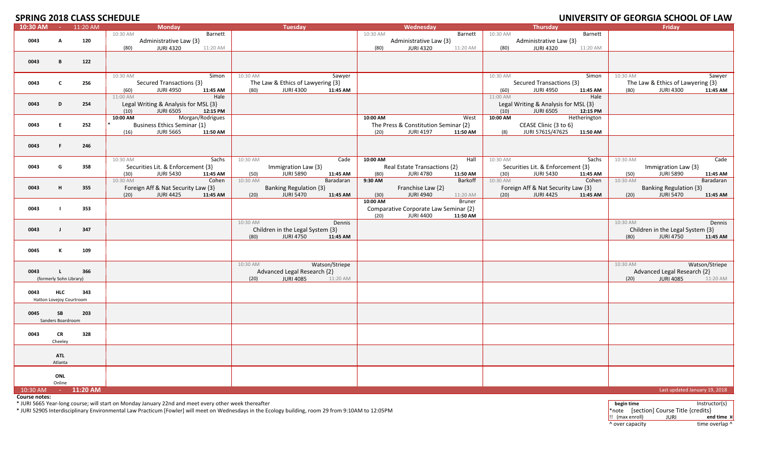# **SPRING 2018 CLASS SCHEDLILE**

|          |                          |              | <b>SPRIING CULO CLASS SUMEDULE</b>   |                   |                                   |          |                                       |               |          |                                      |              |          | UNIVERSITY OF GEORGIA SCHOOL OF LAW |                |
|----------|--------------------------|--------------|--------------------------------------|-------------------|-----------------------------------|----------|---------------------------------------|---------------|----------|--------------------------------------|--------------|----------|-------------------------------------|----------------|
| 10:30 AM |                          | $- 11:20$ AM | <b>Monday</b>                        |                   | Tuesday                           |          | Wednesday                             |               |          | Thursday                             |              |          | Friday                              |                |
|          |                          |              | 10:30 AM                             | Barnett           |                                   | 10:30 AM |                                       | Barnett       | 10:30 AM |                                      | Barnett      |          |                                     |                |
| 0043     | A                        | 120          | Administrative Law {3}               |                   |                                   |          | Administrative Law {3}                |               |          | Administrative Law {3}               |              |          |                                     |                |
|          |                          |              | <b>JURI 4320</b><br>(80)             | 11:20 AM          |                                   | (80)     | <b>JURI 4320</b>                      | 11:20 AM      | (80)     | <b>JURI 4320</b>                     | 11:20 AM     |          |                                     |                |
|          |                          |              |                                      |                   |                                   |          |                                       |               |          |                                      |              |          |                                     |                |
|          |                          |              |                                      |                   |                                   |          |                                       |               |          |                                      |              |          |                                     |                |
| 0043     | B                        | 122          |                                      |                   |                                   |          |                                       |               |          |                                      |              |          |                                     |                |
|          |                          |              |                                      |                   |                                   |          |                                       |               |          |                                      |              |          |                                     |                |
|          |                          |              | 10:30 AM                             | 10:30 AM<br>Simon | Sawyer                            |          |                                       |               | 10:30 AM |                                      | Simon        | 10:30 AM |                                     | Sawyer         |
| 0043     | $\mathbf c$              | 256          | Secured Transactions {3}             |                   | The Law & Ethics of Lawyering {3} |          |                                       |               |          | Secured Transactions {3}             |              |          | The Law & Ethics of Lawyering {3}   |                |
|          |                          |              | <b>JURI 4950</b><br>(60)             | 11:45 AM<br>(80)  | <b>JURI 4300</b><br>11:45 AM      |          |                                       |               | (60)     | <b>JURI 4950</b>                     | 11:45 AM     | (80)     | <b>JURI 4300</b>                    | 11:45 AM       |
|          |                          |              | 11:00 AM                             | Hale              |                                   |          |                                       |               | 11:00 AM |                                      | Hale         |          |                                     |                |
|          |                          |              |                                      |                   |                                   |          |                                       |               |          |                                      |              |          |                                     |                |
| 0043     | D                        | 254          | Legal Writing & Analysis for MSL {3} |                   |                                   |          |                                       |               |          | Legal Writing & Analysis for MSL {3} |              |          |                                     |                |
|          |                          |              | <b>JURI 6505</b><br>(10)             | 12:15 PM          |                                   |          |                                       |               | (10)     | <b>JURI 6505</b>                     | 12:15 PM     |          |                                     |                |
|          |                          |              | Morgan/Rodrigues<br>10:00 AM         |                   |                                   | 10:00 AM |                                       | West          | 10:00 AM |                                      | Hetherington |          |                                     |                |
| 0043     | E                        | 252          | <b>Business Ethics Seminar {1}</b>   |                   |                                   |          | The Press & Constitution Seminar {2}  |               |          | CEASE Clinic {3 to 6}                |              |          |                                     |                |
|          |                          |              | <b>JURI 5665</b><br>(16)             | 11:50 AM          |                                   | (20)     | <b>JURI 4197</b>                      | 11:50 AM      | (8)      | JURI 5761S/4762S 11:50 AM            |              |          |                                     |                |
|          |                          |              |                                      |                   |                                   |          |                                       |               |          |                                      |              |          |                                     |                |
| 0043     | F                        | 246          |                                      |                   |                                   |          |                                       |               |          |                                      |              |          |                                     |                |
|          |                          |              |                                      |                   |                                   |          |                                       |               |          |                                      |              |          |                                     |                |
|          |                          |              |                                      |                   |                                   |          |                                       |               |          |                                      |              |          |                                     |                |
|          |                          |              | 10:30 AM                             | Sachs<br>10:30 AM | Cade                              | 10:00 AM |                                       | Hall          | 10:30 AM |                                      | Sachs        | 10:30 AM |                                     | Cade           |
| 0043     | G                        | 358          | Securities Lit. & Enforcement {3}    |                   | Immigration Law {3}               |          | Real Estate Transactions {2}          |               |          | Securities Lit. & Enforcement {3}    |              |          | Immigration Law {3}                 |                |
|          |                          |              | (30)<br><b>JURI 5430</b>             | 11:45 AM<br>(50)  | JURI 5890<br>11:45 AM             | (80)     | <b>JURI 4780</b>                      | 11:50 AM      | (30)     | <b>JURI 5430</b>                     | 11:45 AM     | (50)     | <b>JURI 5890</b>                    | 11:45 AM       |
|          |                          |              | 10:30 AM                             | Cohen<br>10:30 AM | Baradaran                         | 9:30 AM  |                                       | Barkoff       | 10:30 AM |                                      | Cohen        | 10:30 AM |                                     | Baradaran      |
| 0043     | н                        | 355          | Foreign Aff & Nat Security Law {3}   |                   | <b>Banking Regulation {3}</b>     |          | Franchise Law {2}                     |               |          | Foreign Aff & Nat Security Law {3}   |              |          | <b>Banking Regulation {3}</b>       |                |
|          |                          |              | <b>JURI 4425</b><br>(20)             | (20)<br>11:45 AM  | <b>JURI 5470</b><br>11:45 AM      | (30)     | <b>JURI 4940</b>                      | 11:20 AM      | (20)     | <b>JURI 4425</b>                     | 11:45 AM     | (20)     | <b>JURI 5470</b>                    | 11:45 AM       |
|          |                          |              |                                      |                   |                                   | 10:00 AM |                                       |               |          |                                      |              |          |                                     |                |
|          |                          |              |                                      |                   |                                   |          |                                       | <b>Bruner</b> |          |                                      |              |          |                                     |                |
| 0043     |                          | 353          |                                      |                   |                                   |          | Comparative Corporate Law Seminar {2} |               |          |                                      |              |          |                                     |                |
|          |                          |              |                                      |                   |                                   | (20)     | <b>JURI 4400</b>                      | 11:50 AM      |          |                                      |              |          |                                     |                |
|          |                          |              |                                      | 10:30 AM          | Dennis                            |          |                                       |               |          |                                      |              | 10:30 AM |                                     | Dennis         |
| 0043     | $\blacksquare$           | 347          |                                      |                   | Children in the Legal System {3}  |          |                                       |               |          |                                      |              |          | Children in the Legal System {3}    |                |
|          |                          |              |                                      | (80)              | <b>JURI 4750</b><br>11:45 AM      |          |                                       |               |          |                                      |              | (80)     | <b>JURI 4750</b>                    | 11:45 AM       |
|          |                          |              |                                      |                   |                                   |          |                                       |               |          |                                      |              |          |                                     |                |
|          |                          |              |                                      |                   |                                   |          |                                       |               |          |                                      |              |          |                                     |                |
| 0045     | К                        | 109          |                                      |                   |                                   |          |                                       |               |          |                                      |              |          |                                     |                |
|          |                          |              |                                      |                   |                                   |          |                                       |               |          |                                      |              |          |                                     |                |
|          |                          |              |                                      | 10:30 AM          | Watson/Striepe                    |          |                                       |               |          |                                      |              | 10:30 AM |                                     | Watson/Striepe |
| 0043     | τ.                       | 366          |                                      |                   | Advanced Legal Research {2}       |          |                                       |               |          |                                      |              |          | Advanced Legal Research {2}         |                |
|          | (formerly Sohn Library)  |              |                                      | (20)              | <b>JURI 4085</b><br>11:20 AM      |          |                                       |               |          |                                      |              | (20)     | <b>JURI 4085</b>                    | 11:20 AM       |
|          |                          |              |                                      |                   |                                   |          |                                       |               |          |                                      |              |          |                                     |                |
| 0043     | <b>HLC</b>               | 343          |                                      |                   |                                   |          |                                       |               |          |                                      |              |          |                                     |                |
|          |                          |              |                                      |                   |                                   |          |                                       |               |          |                                      |              |          |                                     |                |
|          | Hatton Lovejoy Courtroom |              |                                      |                   |                                   |          |                                       |               |          |                                      |              |          |                                     |                |
|          |                          |              |                                      |                   |                                   |          |                                       |               |          |                                      |              |          |                                     |                |
| 0045     | SB                       | 203          |                                      |                   |                                   |          |                                       |               |          |                                      |              |          |                                     |                |
|          | Sanders Boardroom        |              |                                      |                   |                                   |          |                                       |               |          |                                      |              |          |                                     |                |
|          |                          |              |                                      |                   |                                   |          |                                       |               |          |                                      |              |          |                                     |                |
| 0043     | CR                       | 328          |                                      |                   |                                   |          |                                       |               |          |                                      |              |          |                                     |                |
|          | Cheeley                  |              |                                      |                   |                                   |          |                                       |               |          |                                      |              |          |                                     |                |
|          |                          |              |                                      |                   |                                   |          |                                       |               |          |                                      |              |          |                                     |                |
|          |                          |              |                                      |                   |                                   |          |                                       |               |          |                                      |              |          |                                     |                |
|          | ATL                      |              |                                      |                   |                                   |          |                                       |               |          |                                      |              |          |                                     |                |
|          | Atlanta                  |              |                                      |                   |                                   |          |                                       |               |          |                                      |              |          |                                     |                |
|          |                          |              |                                      |                   |                                   |          |                                       |               |          |                                      |              |          |                                     |                |
|          | ONL                      |              |                                      |                   |                                   |          |                                       |               |          |                                      |              |          |                                     |                |
|          | Online                   |              |                                      |                   |                                   |          |                                       |               |          |                                      |              |          |                                     |                |
| 10:30 AM |                          | $-11:20$ AM  |                                      |                   |                                   |          |                                       |               |          |                                      |              |          | Last updated January 19, 2018       |                |
|          |                          |              |                                      |                   |                                   |          |                                       |               |          |                                      |              |          |                                     |                |

**Course notes:**

\* JURI 5665 Year-long course; will start on Monday January 22nd and meet every other week thereafter<br>\* JURI 5290S Interdisciplinary Environmental Law Practicum [Fowler] will meet on Wednesdays in the Ecology building, room

!! (max enroll) JURI **end time ¤** ^ over capacity dime overlap ^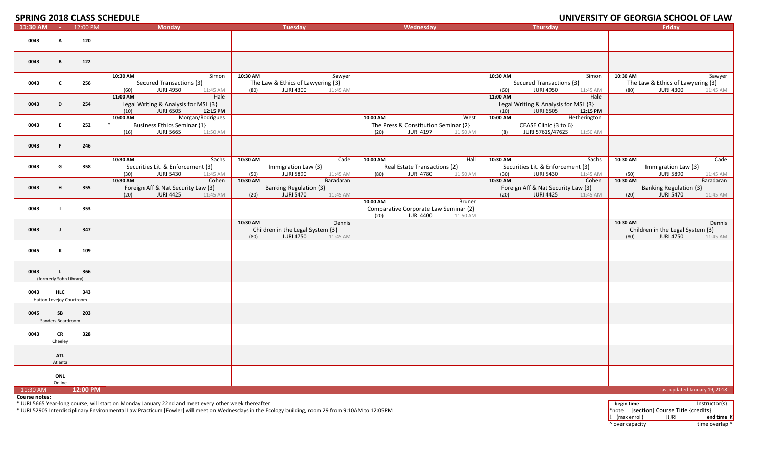# **SPRING 2018 CLASS SCHEDLILE**

|            |                                         | <b>SPRING CULO CLASS SUMEDULE</b> |                                                                                                            |                                                                                                 |                                                                                                            |                                                                                                  | UNIVERSITY OF GEORGIA SCHOOL OF LAW                                                             |
|------------|-----------------------------------------|-----------------------------------|------------------------------------------------------------------------------------------------------------|-------------------------------------------------------------------------------------------------|------------------------------------------------------------------------------------------------------------|--------------------------------------------------------------------------------------------------|-------------------------------------------------------------------------------------------------|
| 11:30 AM   | <b>College</b>                          | 12:00 PM                          | <b>Monday</b>                                                                                              | <b>Tuesday</b>                                                                                  | Wednesday                                                                                                  | <b>Thursday</b>                                                                                  | Friday                                                                                          |
| 0043       | A                                       | 120                               |                                                                                                            |                                                                                                 |                                                                                                            |                                                                                                  |                                                                                                 |
| 0043       | В                                       | 122                               |                                                                                                            |                                                                                                 |                                                                                                            |                                                                                                  |                                                                                                 |
| 0043       | $\mathbf{C}$                            | 256                               | 10:30 AM<br>Simon<br>Secured Transactions {3}<br><b>JURI 4950</b><br>11:45 AM<br>(60)                      | 10:30 AM<br>Sawyer<br>The Law & Ethics of Lawyering {3}<br><b>JURI 4300</b><br>(80)<br>11:45 AM |                                                                                                            | 10:30 AM<br>Simon<br>Secured Transactions {3}<br><b>JURI 4950</b><br>11:45 AM<br>(60)            | 10:30 AM<br>Sawyer<br>The Law & Ethics of Lawyering {3}<br><b>JURI 4300</b><br>(80)<br>11:45 AM |
| 0043       | D                                       | 254                               | 11:00 AM<br>Hale<br>Legal Writing & Analysis for MSL {3}<br>(10)<br><b>JURI 6505</b><br>12:15 PM           |                                                                                                 |                                                                                                            | 11:00 AM<br>Hale<br>Legal Writing & Analysis for MSL {3}<br>(10)<br><b>JURI 6505</b><br>12:15 PM |                                                                                                 |
| 0043       | E.                                      | 252                               | 10:00 AM<br>Morgan/Rodrigues<br><b>Business Ethics Seminar {1}</b><br><b>JURI 5665</b><br>(16)<br>11:50 AM |                                                                                                 | West<br>10:00 AM<br>The Press & Constitution Seminar {2}<br><b>JURI 4197</b><br>(20)<br>11:50 AM           | 10:00 AM<br>Hetherington<br>CEASE Clinic {3 to 6}<br>JURI 5761S/4762S<br>(8)<br>11:50 AM         |                                                                                                 |
| 0043       | F.                                      | 246                               |                                                                                                            |                                                                                                 |                                                                                                            |                                                                                                  |                                                                                                 |
| 0043       | G                                       | 358                               | 10:30 AM<br>Sachs<br>Securities Lit. & Enforcement {3}<br>(30)<br><b>JURI 5430</b><br>11:45 AM             | 10:30 AM<br>Cade<br>Immigration Law {3}<br><b>JURI 5890</b><br>(50)<br>11:45 AM                 | 10:00 AM<br>Hall<br>Real Estate Transactions {2}<br><b>JURI 4780</b><br>11:50 AM<br>(80)                   | 10:30 AM<br>Sachs<br>Securities Lit. & Enforcement {3}<br><b>JURI 5430</b><br>(30)<br>11:45 AM   | Cade<br>10:30 AM<br>Immigration Law {3}<br><b>JURI 5890</b><br>(50)<br>11:45 AM                 |
| 0043       | H                                       | 355                               | 10:30 AM<br>Cohen<br>Foreign Aff & Nat Security Law {3}<br><b>JURI 4425</b><br>(20)<br>11:45 AM            | 10:30 AM<br>Baradaran<br><b>Banking Regulation {3}</b><br><b>JURI 5470</b><br>(20)<br>11:45 AM  |                                                                                                            | 10:30 AM<br>Cohen<br>Foreign Aff & Nat Security Law {3}<br>(20)<br><b>JURI 4425</b><br>11:45 AM  | 10:30 AM<br>Baradaran<br><b>Banking Regulation {3}</b><br><b>JURI 5470</b><br>(20)<br>11:45 AM  |
| 0043       | $\blacksquare$                          | 353                               |                                                                                                            |                                                                                                 | 10:00 AM<br><b>Bruner</b><br>Comparative Corporate Law Seminar {2}<br>(20)<br><b>JURI 4400</b><br>11:50 AM |                                                                                                  |                                                                                                 |
| 0043       | $\mathbf{J}$                            | 347                               |                                                                                                            | 10:30 AM<br>Dennis<br>Children in the Legal System {3}<br><b>JURI 4750</b><br>(80)<br>11:45 AM  |                                                                                                            |                                                                                                  | 10:30 AM<br>Dennis<br>Children in the Legal System {3}<br><b>JURI 4750</b><br>(80)<br>11:45 AM  |
| 0045       | К                                       | 109                               |                                                                                                            |                                                                                                 |                                                                                                            |                                                                                                  |                                                                                                 |
| 0043       | $\mathsf{L}$<br>(formerly Sohn Library) | 366                               |                                                                                                            |                                                                                                 |                                                                                                            |                                                                                                  |                                                                                                 |
| 0043       | <b>HLC</b><br>Hatton Lovejoy Courtroom  | 343                               |                                                                                                            |                                                                                                 |                                                                                                            |                                                                                                  |                                                                                                 |
| 0045       | <b>SB</b><br>Sanders Boardroom          | 203                               |                                                                                                            |                                                                                                 |                                                                                                            |                                                                                                  |                                                                                                 |
| 0043       | CR<br>Cheeley                           | 328                               |                                                                                                            |                                                                                                 |                                                                                                            |                                                                                                  |                                                                                                 |
|            | <b>ATL</b><br>Atlanta                   |                                   |                                                                                                            |                                                                                                 |                                                                                                            |                                                                                                  |                                                                                                 |
|            | ONL<br>Online                           |                                   |                                                                                                            |                                                                                                 |                                                                                                            |                                                                                                  |                                                                                                 |
| $11:30$ AM | $\sim 100$                              | 12:00 PM                          |                                                                                                            |                                                                                                 |                                                                                                            |                                                                                                  | Last updated January 19, 2018                                                                   |

**Course notes:**

\* JURI 5665 Year-long course; will start on Monday January 22nd and meet every other week thereafter<br>\* JURI 5290S Interdisciplinary Environmental Law Practicum [Fowler] will meet on Wednesdays in the Ecology building, room

!! (max enroll) JURI **end time ¤** ^ over capacity dime overlap ^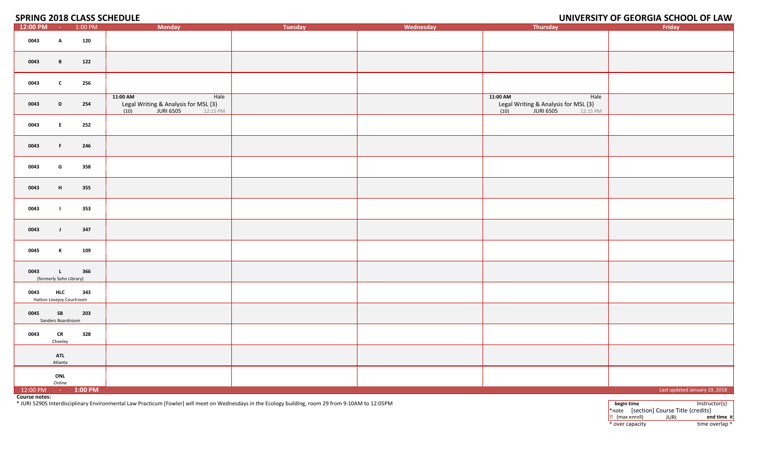**SPRING 2018 CLASS SCHEDULE** 

# **2018 CLASS SCHEDULE UNIVERSITY OF GEORGIA SCHOOL OF LAW**

| 12:00 PM                                                                                                                                    | $\sim 100$                              | 1:00 PM | <b>Monday</b>                                                                           | Tuesday | Wednesday | Thursday                                                                                | Friday                        |
|---------------------------------------------------------------------------------------------------------------------------------------------|-----------------------------------------|---------|-----------------------------------------------------------------------------------------|---------|-----------|-----------------------------------------------------------------------------------------|-------------------------------|
| 0043                                                                                                                                        | $\mathbf{A}$                            | 120     |                                                                                         |         |           |                                                                                         |                               |
| 0043                                                                                                                                        | $\mathbf{B}$                            | 122     |                                                                                         |         |           |                                                                                         |                               |
| 0043                                                                                                                                        | $\mathbf{c}$                            | 256     |                                                                                         |         |           |                                                                                         |                               |
| 0043                                                                                                                                        | D                                       | 254     | 11:00 AM<br>Hale<br>Legal Writing & Analysis for MSL $\{3\}$<br>(10) JURI 6505 12:15 PM |         |           | 11:00 AM<br>Hale<br>Legal Writing & Analysis for MSL $\{3\}$<br>(10) JURI 6505 12:15 PM |                               |
| 0043                                                                                                                                        | E.                                      | 252     |                                                                                         |         |           |                                                                                         |                               |
| 0043                                                                                                                                        | F.                                      | 246     |                                                                                         |         |           |                                                                                         |                               |
| 0043                                                                                                                                        | G                                       | 358     |                                                                                         |         |           |                                                                                         |                               |
| 0043                                                                                                                                        | H                                       | 355     |                                                                                         |         |           |                                                                                         |                               |
| 0043                                                                                                                                        | - 1                                     | 353     |                                                                                         |         |           |                                                                                         |                               |
| 0043                                                                                                                                        | $\mathbf{J}$                            | 347     |                                                                                         |         |           |                                                                                         |                               |
| 0045                                                                                                                                        | $\mathbf{K}$                            | 109     |                                                                                         |         |           |                                                                                         |                               |
| 0043                                                                                                                                        | $\mathbf{L}$<br>(formerly Sohn Library) | 366     |                                                                                         |         |           |                                                                                         |                               |
| 0043<br>Hatton Lovejoy Courtroom                                                                                                            | <b>HLC</b>                              | 343     |                                                                                         |         |           |                                                                                         |                               |
| 0045                                                                                                                                        | SB<br>Sanders Boardroom                 | 203     |                                                                                         |         |           |                                                                                         |                               |
| 0043                                                                                                                                        | ${\sf CR}$<br>Cheeley                   | 328     |                                                                                         |         |           |                                                                                         |                               |
|                                                                                                                                             | <b>ATL</b><br>Atlanta                   |         |                                                                                         |         |           |                                                                                         |                               |
|                                                                                                                                             | ONL<br>Online                           |         |                                                                                         |         |           |                                                                                         |                               |
| 12:00 PM - 1:00 PM<br><b>Contract Contract Contract Contract Contract Contract Contract Contract Contract Contract Contract Contract Co</b> |                                         |         |                                                                                         |         |           |                                                                                         | Last updated January 19, 2018 |

**Course notes:**

\* JURI 5290S Interdisciplinary Environmental Law Practicum [Fowler] will meet on Wednesdays in the Ecology building, room 29 from 9:10AM to 12:05PM **begin time** Instructor(s)

\*note [section] Course Title {credits} !! (max enroll) JURI **end time ¤** ^ over capacity dime overlap ^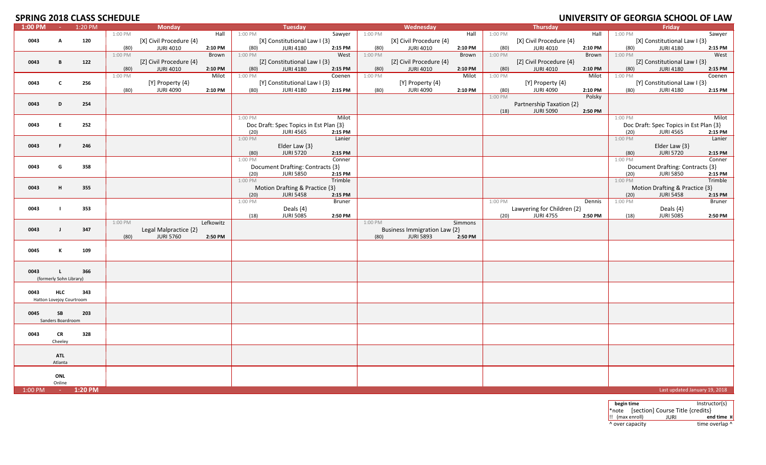# **SPRING 2018 CLASS SCHEDULE**

|         |                          |         |         |                         |           |         |                                        |               |         |                              |         |         |                            | <u>.</u> |         |                                        | ------  |
|---------|--------------------------|---------|---------|-------------------------|-----------|---------|----------------------------------------|---------------|---------|------------------------------|---------|---------|----------------------------|----------|---------|----------------------------------------|---------|
| 1:00 PM | $\sim 10^{-1}$           | 1:20 PM |         | <b>Monday</b>           |           |         | Tuesday                                |               |         | Wednesday                    |         |         | Thursday                   |          |         | Friday                                 |         |
|         |                          |         | 1:00 PM |                         | Hall      | 1:00 PM |                                        | Sawyer        | 1:00 PM |                              | Hall    | 1:00 PM |                            | Hall     | 1:00 PM |                                        | Sawyer  |
| 0043    | A                        | 120     |         | [X] Civil Procedure {4} |           |         | [X] Constitutional Law I {3}           |               |         | [X] Civil Procedure {4}      |         |         | [X] Civil Procedure {4}    |          |         | [X] Constitutional Law I {3}           |         |
|         |                          |         | (80)    | <b>JURI 4010</b>        | 2:10 PM   | (80)    | <b>JURI 4180</b>                       | 2:15 PM       | (80)    | <b>JURI 4010</b>             | 2:10 PM | (80)    | <b>JURI 4010</b>           | 2:10 PM  | (80)    | <b>JURI 4180</b>                       | 2:15 PM |
|         |                          |         | 1:00 PM |                         | Brown     | 1:00 PM |                                        | West          | 1:00 PM |                              | Brown   | 1:00 PM |                            | Brown    | 1:00 PM |                                        | West    |
| 0043    | B                        | 122     |         | [Z] Civil Procedure {4} |           |         | [Z] Constitutional Law I {3}           |               |         | [Z] Civil Procedure {4}      |         |         | [Z] Civil Procedure {4}    |          |         | [Z] Constitutional Law I {3}           |         |
|         |                          |         | (80)    | <b>JURI 4010</b>        | 2:10 PM   | (80)    | <b>JURI 4180</b>                       | 2:15 PM       | (80)    | <b>JURI 4010</b>             | 2:10 PM | (80)    | <b>JURI 4010</b>           | 2:10 PM  | (80)    | <b>JURI 4180</b>                       | 2:15 PM |
|         |                          |         | 1:00 PM |                         | Milot     | 1:00 PM |                                        | Coenen        | 1:00 PM |                              | Milot   | 1:00 PM |                            | Milot    | 1:00 PM |                                        | Coenen  |
| 0043    | $\mathbf c$              | 256     |         | [Y] Property {4}        |           |         | [Y] Constitutional Law I {3}           |               |         | [Y] Property {4}             |         |         | [Y] Property {4}           |          |         | [Y] Constitutional Law I {3}           |         |
|         |                          |         |         | <b>JURI 4090</b>        |           |         | <b>JURI 4180</b>                       |               |         |                              |         |         | <b>JURI 4090</b>           |          |         | <b>JURI 4180</b>                       |         |
|         |                          |         | (80)    |                         | 2:10 PM   | (80)    |                                        | 2:15 PM       | (80)    | <b>JURI 4090</b>             | 2:10 PM | (80)    |                            | 2:10 PM  | (80)    |                                        | 2:15 PM |
|         |                          |         |         |                         |           |         |                                        |               |         |                              |         | 1:00 PM |                            | Polsky   |         |                                        |         |
| 0043    | D                        | 254     |         |                         |           |         |                                        |               |         |                              |         |         | Partnership Taxation {2}   |          |         |                                        |         |
|         |                          |         |         |                         |           |         |                                        |               |         |                              |         | (18)    | <b>JURI 5090</b>           | 2:50 PM  |         |                                        |         |
|         |                          |         |         |                         |           | 1:00 PM |                                        | Milot         |         |                              |         |         |                            |          | 1:00 PM |                                        | Milot   |
| 0043    | E.                       | 252     |         |                         |           |         | Doc Draft: Spec Topics in Est Plan {3} |               |         |                              |         |         |                            |          |         | Doc Draft: Spec Topics in Est Plan {3} |         |
|         |                          |         |         |                         |           | (20)    | <b>JURI 4565</b>                       | 2:15 PM       |         |                              |         |         |                            |          | (20)    | <b>JURI 4565</b>                       | 2:15 PM |
|         |                          |         |         |                         |           | 1:00 PM |                                        | Lanier        |         |                              |         |         |                            |          | 1:00 PM |                                        | Lanier  |
| 0043    | F                        | 246     |         |                         |           |         | Elder Law {3}                          |               |         |                              |         |         |                            |          |         | Elder Law {3}                          |         |
|         |                          |         |         |                         |           | (80)    | <b>JURI 5720</b>                       | 2:15 PM       |         |                              |         |         |                            |          | (80)    | <b>JURI 5720</b>                       | 2:15 PM |
|         |                          |         |         |                         |           |         |                                        |               |         |                              |         |         |                            |          |         |                                        |         |
|         |                          |         |         |                         |           | 1:00 PM |                                        | Conner        |         |                              |         |         |                            |          | 1:00 PM |                                        | Conner  |
| 0043    | G                        | 358     |         |                         |           |         | Document Drafting: Contracts {3}       |               |         |                              |         |         |                            |          |         | Document Drafting: Contracts {3}       |         |
|         |                          |         |         |                         |           | (20)    | <b>JURI 5850</b>                       | 2:15 PM       |         |                              |         |         |                            |          | (20)    | <b>JURI 5850</b>                       | 2:15 PM |
|         |                          |         |         |                         |           | 1:00 PM |                                        | Trimble       |         |                              |         |         |                            |          | 1:00 PM |                                        | Trimble |
| 0043    | H                        | 355     |         |                         |           |         | Motion Drafting & Practice {3}         |               |         |                              |         |         |                            |          |         | Motion Drafting & Practice {3}         |         |
|         |                          |         |         |                         |           | (20)    | <b>JURI 5458</b>                       | 2:15 PM       |         |                              |         |         |                            |          | (20)    | <b>JURI 5458</b>                       | 2:15 PM |
|         |                          |         |         |                         |           | 1:00 PM |                                        | <b>Bruner</b> |         |                              |         | 1:00 PM |                            | Dennis   | 1:00 PM |                                        | Bruner  |
| 0043    |                          | 353     |         |                         |           |         | Deals {4}                              |               |         |                              |         |         | Lawyering for Children {2} |          |         | Deals {4}                              |         |
|         |                          |         |         |                         |           | (18)    | <b>JURI 5085</b>                       | 2:50 PM       |         |                              |         | (20)    | <b>JURI 4755</b>           | 2:50 PM  | (18)    | <b>JURI 5085</b>                       | 2:50 PM |
|         |                          |         | 1:00 PM |                         | Lefkowitz |         |                                        |               | 1:00 PM |                              | Simmons |         |                            |          |         |                                        |         |
|         |                          |         |         |                         |           |         |                                        |               |         |                              |         |         |                            |          |         |                                        |         |
| 0043    | $\mathbf{I}$             | 347     |         | Legal Malpractice {2}   |           |         |                                        |               |         | Business Immigration Law {2} |         |         |                            |          |         |                                        |         |
|         |                          |         | (80)    | <b>JURI 5760</b>        | 2:50 PM   |         |                                        |               | (80)    | <b>JURI 5893</b>             | 2:50 PM |         |                            |          |         |                                        |         |
|         |                          |         |         |                         |           |         |                                        |               |         |                              |         |         |                            |          |         |                                        |         |
| 0045    | К                        | 109     |         |                         |           |         |                                        |               |         |                              |         |         |                            |          |         |                                        |         |
|         |                          |         |         |                         |           |         |                                        |               |         |                              |         |         |                            |          |         |                                        |         |
|         |                          |         |         |                         |           |         |                                        |               |         |                              |         |         |                            |          |         |                                        |         |
| 0043    | L.                       | 366     |         |                         |           |         |                                        |               |         |                              |         |         |                            |          |         |                                        |         |
|         | (formerly Sohn Library)  |         |         |                         |           |         |                                        |               |         |                              |         |         |                            |          |         |                                        |         |
|         |                          |         |         |                         |           |         |                                        |               |         |                              |         |         |                            |          |         |                                        |         |
| 0043    | <b>HLC</b>               | 343     |         |                         |           |         |                                        |               |         |                              |         |         |                            |          |         |                                        |         |
|         | Hatton Lovejoy Courtroom |         |         |                         |           |         |                                        |               |         |                              |         |         |                            |          |         |                                        |         |
|         |                          |         |         |                         |           |         |                                        |               |         |                              |         |         |                            |          |         |                                        |         |
|         |                          |         |         |                         |           |         |                                        |               |         |                              |         |         |                            |          |         |                                        |         |
| 0045    | SB                       | 203     |         |                         |           |         |                                        |               |         |                              |         |         |                            |          |         |                                        |         |
|         | Sanders Boardroom        |         |         |                         |           |         |                                        |               |         |                              |         |         |                            |          |         |                                        |         |
|         |                          |         |         |                         |           |         |                                        |               |         |                              |         |         |                            |          |         |                                        |         |
| 0043    | CR                       | 328     |         |                         |           |         |                                        |               |         |                              |         |         |                            |          |         |                                        |         |
|         | Cheeley                  |         |         |                         |           |         |                                        |               |         |                              |         |         |                            |          |         |                                        |         |
|         |                          |         |         |                         |           |         |                                        |               |         |                              |         |         |                            |          |         |                                        |         |
|         | <b>ATL</b>               |         |         |                         |           |         |                                        |               |         |                              |         |         |                            |          |         |                                        |         |
|         | Atlanta                  |         |         |                         |           |         |                                        |               |         |                              |         |         |                            |          |         |                                        |         |
|         |                          |         |         |                         |           |         |                                        |               |         |                              |         |         |                            |          |         |                                        |         |
|         | ONL                      |         |         |                         |           |         |                                        |               |         |                              |         |         |                            |          |         |                                        |         |
|         | Online                   |         |         |                         |           |         |                                        |               |         |                              |         |         |                            |          |         |                                        |         |
|         |                          |         |         |                         |           |         |                                        |               |         |                              |         |         |                            |          |         |                                        |         |
| 1:00 PM | $\sim$                   | 1:20 PM |         |                         |           |         |                                        |               |         |                              |         |         |                            |          |         | Last updated January 19, 2018          |         |

**begin time** Instructor(s) \*note [section] Course Title {credits} !! (max enroll) JURI **end time ¤** ^ over capacity dime overlap ^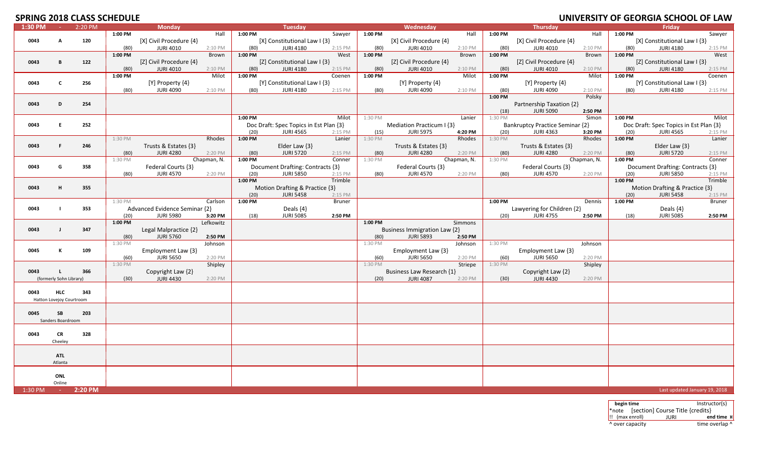# **SPRING 2018 CLASS SCHEDULE**

| 1:30 PM | $\sim 10^{-1}$           | 2:20 PM |         | Monday                        |             |         | <b>Tuesday</b>                         |         |         | Wednesday                    |             |         | <b>Thursday</b>                 |             |         | <b>Friday</b>                          |                               |
|---------|--------------------------|---------|---------|-------------------------------|-------------|---------|----------------------------------------|---------|---------|------------------------------|-------------|---------|---------------------------------|-------------|---------|----------------------------------------|-------------------------------|
|         |                          |         | 1:00 PM |                               | Hall        | 1:00 PM |                                        | Sawyer  | 1:00 PM |                              | Hall        | 1:00 PM |                                 | Hall        | 1:00 PM |                                        | Sawyer                        |
| 0043    | A                        | 120     |         | [X] Civil Procedure {4}       |             |         | [X] Constitutional Law I {3}           |         |         | [X] Civil Procedure {4}      |             |         | [X] Civil Procedure {4}         |             |         | [X] Constitutional Law I {3}           |                               |
|         |                          |         | (80)    | <b>JURI 4010</b>              | 2:10 PM     | (80)    | <b>JURI 4180</b>                       | 2:15 PM | (80)    | <b>JURI 4010</b>             | 2:10 PM     | (80)    | <b>JURI 4010</b>                | 2:10 PM     | (80)    | <b>JURI 4180</b>                       | 2:15 PM                       |
|         |                          |         | 1:00 PM |                               | Brown       | 1:00 PM |                                        | West    | 1:00 PM |                              | Brown       | 1:00 PM |                                 | Brown       | 1:00 PM |                                        | West                          |
| 0043    | B                        | 122     |         | [Z] Civil Procedure {4}       |             |         | [Z] Constitutional Law I {3}           |         |         | [Z] Civil Procedure {4}      |             |         | [Z] Civil Procedure {4}         |             |         | [Z] Constitutional Law I {3}           |                               |
|         |                          |         | (80)    | <b>JURI 4010</b>              | 2:10 PM     | (80)    | <b>JURI 4180</b>                       | 2:15 PM | (80)    | <b>JURI 4010</b>             | 2:10 PM     | (80)    | <b>JURI 4010</b>                | 2:10 PM     | (80)    | <b>JURI 4180</b>                       | 2:15 PM                       |
|         |                          |         | 1:00 PM |                               | Milot       | 1:00 PM |                                        | Coenen  | 1:00 PM |                              | Milot       | 1:00 PM |                                 | Milot       | 1:00 PM |                                        | Coenen                        |
| 0043    | $\mathbf c$              | 256     |         | [Y] Property {4}              |             |         | [Y] Constitutional Law I {3}           |         |         | [Y] Property {4}             |             |         | $[Y]$ Property $\{4\}$          |             |         | [Y] Constitutional Law I {3}           |                               |
|         |                          |         | (80)    | <b>JURI 4090</b>              | 2:10 PM     | (80)    | <b>JURI 4180</b>                       | 2:15 PM | (80)    | <b>JURI 4090</b>             | 2:10 PM     | (80)    | <b>JURI 4090</b>                | 2:10 PM     | (80)    | <b>JURI 4180</b>                       | 2:15 PM                       |
|         |                          |         |         |                               |             |         |                                        |         |         |                              |             | 1:00 PM |                                 | Polsky      |         |                                        |                               |
| 0043    | D                        | 254     |         |                               |             |         |                                        |         |         |                              |             |         | Partnership Taxation {2}        |             |         |                                        |                               |
|         |                          |         |         |                               |             |         |                                        |         |         |                              |             | (18)    | <b>JURI 5090</b>                | 2:50 PM     |         |                                        |                               |
|         |                          |         |         |                               |             | 1:00 PM |                                        | Milot   | 1:30 PM |                              | Lanier      | 1:30 PM |                                 | Simon       | 1:00 PM |                                        | Milot                         |
| 0043    | E                        | 252     |         |                               |             |         | Doc Draft: Spec Topics in Est Plan {3} |         |         | Mediation Practicum I {3}    |             |         | Bankruptcy Practice Seminar {2} |             |         | Doc Draft: Spec Topics in Est Plan {3} |                               |
|         |                          |         |         |                               |             | (20)    | <b>JURI 4565</b>                       | 2:15 PM | (15)    | <b>JURI 5975</b>             | 4:20 PM     | (20)    | <b>JURI 4363</b>                | 3:20 PM     | (20)    | <b>JURI 4565</b>                       | 2:15 PM                       |
|         |                          |         | 1:30 PM |                               | Rhodes      | 1:00 PM |                                        | Lanier  | 1:30 PM |                              | Rhodes      | 1:30 PM |                                 | Rhodes      | 1:00 PM |                                        | Lanier                        |
| 0043    | F.                       | 246     |         | Trusts & Estates {3}          |             |         | Elder Law {3}                          |         |         | Trusts & Estates {3}         |             |         | Trusts & Estates {3}            |             |         | Elder Law $\{3\}$                      |                               |
|         |                          |         | (80)    | <b>JURI 4280</b>              | 2:20 PM     | (80)    | <b>JURI 5720</b>                       | 2:15 PM | (80)    | <b>JURI 4280</b>             | 2:20 PM     | (80)    | <b>JURI 4280</b>                | 2:20 PM     | (80)    | <b>JURI 5720</b>                       | 2:15 PM                       |
|         |                          |         | 1:30 PM |                               | Chapman, N. | 1:00 PM |                                        | Conner  | 1:30 PM |                              | Chapman, N. | 1:30 PM |                                 | Chapman, N. | 1:00 PM |                                        | Conner                        |
| 0043    | G                        | 358     |         | Federal Courts {3}            |             |         | Document Drafting: Contracts {3}       |         |         | Federal Courts {3}           |             |         | Federal Courts {3}              |             |         | Document Drafting: Contracts {3}       |                               |
|         |                          |         | (80)    | <b>JURI 4570</b>              | 2:20 PM     | (20)    | <b>JURI 5850</b>                       | 2:15 PM | (80)    | <b>JURI 4570</b>             | 2:20 PM     | (80)    | <b>JURI 4570</b>                | 2:20 PM     | (20)    | <b>JURI 5850</b>                       | 2:15 PM                       |
|         |                          |         |         |                               |             | 1:00 PM |                                        | Trimble |         |                              |             |         |                                 |             | 1:00 PM |                                        | Trimble                       |
| 0043    | н                        | 355     |         |                               |             |         | Motion Drafting & Practice {3}         |         |         |                              |             |         |                                 |             |         | Motion Drafting & Practice {3}         |                               |
|         |                          |         |         |                               |             | (20)    | <b>JURI 5458</b>                       | 2:15 PM |         |                              |             |         |                                 |             | (20)    | <b>JURI 5458</b>                       | 2:15 PM                       |
|         |                          |         | 1:30 PM |                               | Carlson     | 1:00 PM |                                        | Bruner  |         |                              |             | 1:00 PM |                                 | Dennis      | 1:00 PM |                                        | Bruner                        |
| 0043    | $\blacksquare$           | 353     |         | Advanced Evidence Seminar {2} |             |         | Deals $\{4\}$                          |         |         |                              |             |         | Lawyering for Children {2}      |             |         | Deals $\{4\}$                          |                               |
|         |                          |         | (20)    | <b>JURI 5980</b>              | 3:20 PM     | (18)    | <b>JURI 5085</b>                       | 2:50 PM |         |                              |             | (20)    | <b>JURI 4755</b>                | 2:50 PM     | (18)    | <b>JURI 5085</b>                       | 2:50 PM                       |
|         |                          |         | 1:00 PM |                               | Lefkowitz   |         |                                        |         | 1:00 PM |                              | Simmons     |         |                                 |             |         |                                        |                               |
| 0043    | $\blacksquare$           | 347     |         | Legal Malpractice {2}         |             |         |                                        |         |         | Business Immigration Law {2} |             |         |                                 |             |         |                                        |                               |
|         |                          |         | (80)    | <b>JURI 5760</b>              | 2:50 PM     |         |                                        |         | (80)    | <b>JURI 5893</b>             | 2:50 PM     |         |                                 |             |         |                                        |                               |
|         |                          |         | 1:30 PM |                               | Johnson     |         |                                        |         | 1:30 PM |                              | Johnson     | 1:30 PM |                                 | Johnson     |         |                                        |                               |
| 0045    | К                        | 109     |         | Employment Law {3}            |             |         |                                        |         |         | Employment Law {3}           |             |         | Employment Law {3}              |             |         |                                        |                               |
|         |                          |         | (60)    | <b>JURI 5650</b>              | 2:20 PM     |         |                                        |         | (60)    | <b>JURI 5650</b>             | 2:20 PM     | (60)    | <b>JURI 5650</b>                | 2:20 PM     |         |                                        |                               |
|         |                          |         | 1:30 PM |                               | Shipley     |         |                                        |         | 1:30 PM |                              | Striepe     | 1:30 PM |                                 | Shipley     |         |                                        |                               |
| 0043    |                          | 366     |         | Copyright Law {2}             |             |         |                                        |         |         | Business Law Research {1}    |             |         | Copyright Law {2}               |             |         |                                        |                               |
|         | (formerly Sohn Library)  |         | (30)    | <b>JURI 4430</b>              | 2:20 PM     |         |                                        |         | (20)    | <b>JURI 4087</b>             | 2:20 PM     | (30)    | <b>JURI 4430</b>                | 2:20 PM     |         |                                        |                               |
|         |                          |         |         |                               |             |         |                                        |         |         |                              |             |         |                                 |             |         |                                        |                               |
| 0043    | <b>HLC</b>               | 343     |         |                               |             |         |                                        |         |         |                              |             |         |                                 |             |         |                                        |                               |
|         | Hatton Lovejoy Courtroom |         |         |                               |             |         |                                        |         |         |                              |             |         |                                 |             |         |                                        |                               |
| 0045    | SB                       | 203     |         |                               |             |         |                                        |         |         |                              |             |         |                                 |             |         |                                        |                               |
|         |                          |         |         |                               |             |         |                                        |         |         |                              |             |         |                                 |             |         |                                        |                               |
|         | Sanders Boardroom        |         |         |                               |             |         |                                        |         |         |                              |             |         |                                 |             |         |                                        |                               |
| 0043    | <b>CR</b>                | 328     |         |                               |             |         |                                        |         |         |                              |             |         |                                 |             |         |                                        |                               |
|         | Cheeley                  |         |         |                               |             |         |                                        |         |         |                              |             |         |                                 |             |         |                                        |                               |
|         |                          |         |         |                               |             |         |                                        |         |         |                              |             |         |                                 |             |         |                                        |                               |
|         | <b>ATL</b>               |         |         |                               |             |         |                                        |         |         |                              |             |         |                                 |             |         |                                        |                               |
|         | Atlanta                  |         |         |                               |             |         |                                        |         |         |                              |             |         |                                 |             |         |                                        |                               |
|         |                          |         |         |                               |             |         |                                        |         |         |                              |             |         |                                 |             |         |                                        |                               |
|         | ONL                      |         |         |                               |             |         |                                        |         |         |                              |             |         |                                 |             |         |                                        |                               |
|         | Online                   |         |         |                               |             |         |                                        |         |         |                              |             |         |                                 |             |         |                                        |                               |
|         |                          |         |         |                               |             |         |                                        |         |         |                              |             |         |                                 |             |         |                                        | Last updated January 19, 2018 |

**begin time** Instructor(s) \*note [section] Course Title {credits} **11 (max enroll) JURI end time x**<br> **11** (Nover capacity by time overlap  $\wedge$ ^ over capacity dime overlap ^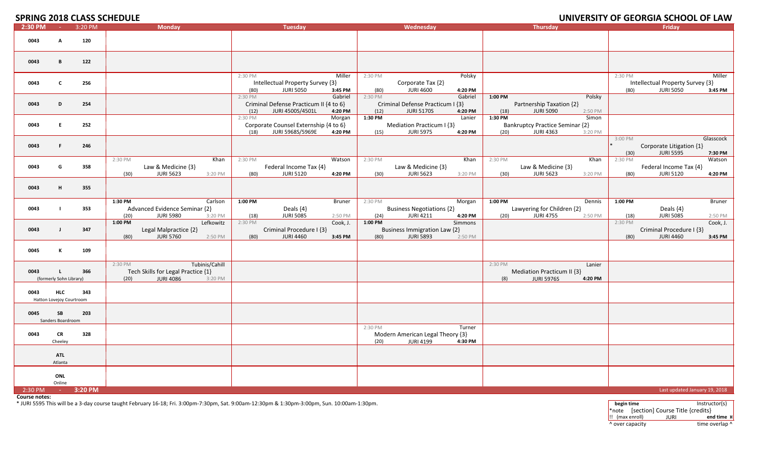**SPRING 2018 CLASS SCHEDLILE** 

### **2018 CLASS SCHEDULE UNIVERSITY OF GEORGIA SCHOOL OF LAW**

|         |                                        | 91 INING 2010 CLAYY YUNLOOLL |                 |                                                        |                           |                 |                                                            |                          |                   |                                                         |                    |                   |                                                            |                   |                 | <u>UNIVERSITI UI ULURUMUA SUNUUL UI LAW</u>          |                          |
|---------|----------------------------------------|------------------------------|-----------------|--------------------------------------------------------|---------------------------|-----------------|------------------------------------------------------------|--------------------------|-------------------|---------------------------------------------------------|--------------------|-------------------|------------------------------------------------------------|-------------------|-----------------|------------------------------------------------------|--------------------------|
| 2:30 PM | $\sim$                                 | 3:20 PM                      |                 | <b>Monday</b>                                          |                           |                 | <b>Tuesday</b>                                             |                          |                   | Wednesday                                               |                    |                   | <b>Thursday</b>                                            |                   |                 | Friday                                               |                          |
| 0043    | A                                      | 120                          |                 |                                                        |                           |                 |                                                            |                          |                   |                                                         |                    |                   |                                                            |                   |                 |                                                      |                          |
| 0043    | B                                      | 122                          |                 |                                                        |                           |                 |                                                            |                          |                   |                                                         |                    |                   |                                                            |                   |                 |                                                      |                          |
| 0043    | $\mathbf{C}$                           | 256                          |                 |                                                        |                           | 2:30 PM<br>(80) | Intellectual Property Survey {3}<br><b>JURI 5050</b>       | Miller<br>3:45 PM        | 2:30 PM<br>(80)   | Corporate Tax {2}<br><b>JURI 4600</b>                   | Polsky<br>4:20 PM  |                   |                                                            |                   | 2:30 PM<br>(80) | Intellectual Property Survey {3}<br><b>JURI 5050</b> | Miller<br>3:45 PM        |
| 0043    | D                                      | 254                          |                 |                                                        |                           | 2:30 PM<br>(12) | Criminal Defense Practicum II {4 to 6}<br>JURI 4500S/4501L | Gabriel<br>4:20 PM       | 2:30 PM<br>(12)   | Criminal Defense Practicum I {3}<br><b>JURI 5170S</b>   | Gabriel<br>4:20 PM | $1:00$ PM<br>(18) | Partnership Taxation {2}<br><b>JURI 5090</b>               | Polsky<br>2:50 PM |                 |                                                      |                          |
| 0043    | E                                      | 252                          |                 |                                                        |                           | 2:30 PM<br>(18) | Corporate Counsel Externship {4 to 6}<br>JURI 5968S/5969E  | Morgan<br>4:20 PM        | 1:30 PM<br>(15)   | Mediation Practicum I {3}<br><b>JURI 5975</b>           | Lanier<br>4:20 PM  | 1:30 PM<br>(20)   | <b>Bankruptcy Practice Seminar {2}</b><br><b>JURI 4363</b> | Simon<br>3:20 PM  |                 |                                                      |                          |
| 0043    | F.                                     | 246                          |                 |                                                        |                           |                 |                                                            |                          |                   |                                                         |                    |                   |                                                            |                   | 3:00 PM<br>(30) | Corporate Litigation {1}<br><b>JURI 5595</b>         | Glasscock<br>7:30 PM     |
| 0043    | G                                      | 358                          | 2:30 PM<br>(30) | Law & Medicine {3}<br><b>JURI 5623</b>                 | Khan<br>3:20 PM           | 2:30 PM<br>(80) | Federal Income Tax {4}<br><b>JURI 5120</b>                 | Watson<br>4:20 PM        | 2:30 PM<br>(30)   | Law & Medicine {3}<br><b>JURI 5623</b>                  | Khan<br>3:20 PM    | 2:30 PM<br>(30)   | Law & Medicine {3}<br><b>JURI 5623</b>                     | Khan<br>3:20 PM   | 2:30 PM<br>(80) | Federal Income Tax {4}<br><b>JURI 5120</b>           | Watson<br>4:20 PM        |
| 0043    | н.                                     | 355                          |                 |                                                        |                           |                 |                                                            |                          |                   |                                                         |                    |                   |                                                            |                   |                 |                                                      |                          |
| 0043    | $\blacksquare$                         | 353                          | 1:30 PM<br>(20) | Advanced Evidence Seminar {2}<br><b>JURI 5980</b>      | Carlson<br>3:20 PM        | 1:00 PM<br>(18) | Deals {4}<br><b>JURI 5085</b>                              | <b>Bruner</b><br>2:50 PM | 2:30 PM<br>(24)   | <b>Business Negotiations {2}</b><br><b>JURI 4211</b>    | Morgan<br>4:20 PM  | 1:00 PM<br>(20)   | Lawyering for Children {2}<br><b>JURI 4755</b>             | Dennis<br>2:50 PM | 1:00 PM<br>(18) | Deals {4}<br><b>JURI 5085</b>                        | <b>Bruner</b><br>2:50 PM |
| 0043    | J                                      | 347                          | 1:00 PM<br>(80) | Legal Malpractice {2}<br><b>JURI 5760</b>              | Lefkowitz<br>2:50 PM      | 2:30 PM<br>(80) | Criminal Procedure I {3}<br><b>JURI 4460</b>               | Cook, J.<br>3:45 PM      | $1:00$ PM<br>(80) | <b>Business Immigration Law {2}</b><br><b>JURI 5893</b> | Simmons<br>2:50 PM |                   |                                                            |                   | 2:30 PM<br>(80) | Criminal Procedure I {3}<br><b>JURI 4460</b>         | Cook, J.<br>3:45 PM      |
| 0045    | к                                      | 109                          |                 |                                                        |                           |                 |                                                            |                          |                   |                                                         |                    |                   |                                                            |                   |                 |                                                      |                          |
| 0043    | (formerly Sohn Library)                | 366                          | 2:30 PM<br>(20) | Tech Skills for Legal Practice {1}<br><b>JURI 4086</b> | Tubinis/Cahill<br>3:20 PM |                 |                                                            |                          |                   |                                                         |                    | 2:30 PM<br>(8)    | Mediation Practicum II {3}<br><b>JURI 5976S</b>            | Lanier<br>4:20 PM |                 |                                                      |                          |
| 0043    | <b>HLC</b><br>Hatton Lovejoy Courtroom | 343                          |                 |                                                        |                           |                 |                                                            |                          |                   |                                                         |                    |                   |                                                            |                   |                 |                                                      |                          |
| 0045    | <b>SB</b><br>Sanders Boardroom         | 203                          |                 |                                                        |                           |                 |                                                            |                          |                   |                                                         |                    |                   |                                                            |                   |                 |                                                      |                          |
| 0043    | CR<br>Cheeley                          | 328                          |                 |                                                        |                           |                 |                                                            |                          | 2:30 PM<br>(20)   | Modern American Legal Theory {3}<br><b>JURI 4199</b>    | Turner<br>4:30 PM  |                   |                                                            |                   |                 |                                                      |                          |
|         | <b>ATL</b><br>Atlanta                  |                              |                 |                                                        |                           |                 |                                                            |                          |                   |                                                         |                    |                   |                                                            |                   |                 |                                                      |                          |
|         | ONL<br>Online                          |                              |                 |                                                        |                           |                 |                                                            |                          |                   |                                                         |                    |                   |                                                            |                   |                 |                                                      |                          |
| 2:30 PM | <b>Contact</b>                         | 3:20 PM                      |                 |                                                        |                           |                 |                                                            |                          |                   |                                                         |                    |                   |                                                            |                   |                 | Last updated January 19, 2018                        |                          |

**Course notes:**

\* JURI 5595 This will be <sup>a</sup> 3‐day course taught February 16‐18; Fri. 3:00pm‐7:30pm, Sat. 9:00am‐12:30pm & 1:30pm‐3:00pm, Sun. 10:00am‐1:30pm. **begin time** Instructor(s)

\*note [section] Course Title {credits} !! (max enroll) JURI **end time ¤** ^ over capacity dime overlap ^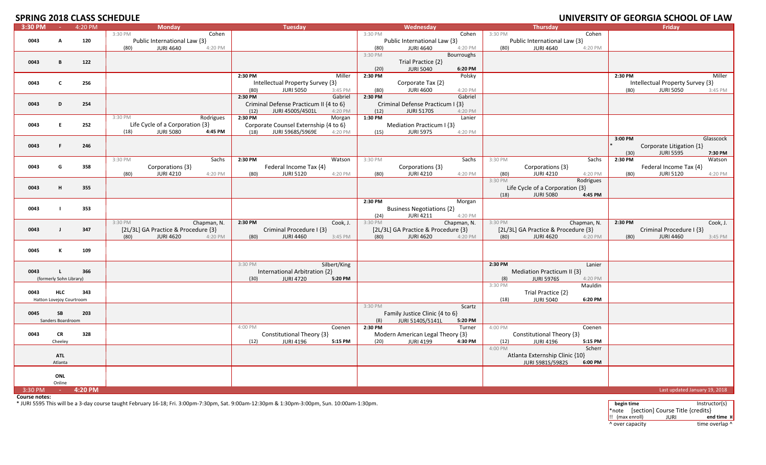# **SPRING 2018 CLASS SCHEDLILE**

|           |                          |         | <u>JE ININU ZUID CLAJJ JUHLDULL</u> |                                     |             |         |                                        |              |         |                                     |             |         |                                     |             |         | <u>UNIVERSITI ULURUMUA SUIUUL UL LAW</u> |                               |
|-----------|--------------------------|---------|-------------------------------------|-------------------------------------|-------------|---------|----------------------------------------|--------------|---------|-------------------------------------|-------------|---------|-------------------------------------|-------------|---------|------------------------------------------|-------------------------------|
| 3:30 PM   | <b>College</b>           | 4:20 PM |                                     | <b>Monday</b>                       |             |         | <b>Tuesday</b>                         |              |         | Wednesday                           |             |         | <b>Thursday</b>                     |             |         | Fridav                                   |                               |
|           |                          |         | 3:30 PM                             |                                     | Cohen       |         |                                        |              | 3:30 PM |                                     | Cohen       | 3:30 PM |                                     | Cohen       |         |                                          |                               |
| 0043      | A                        | 120     |                                     | Public International Law {3}        |             |         |                                        |              |         | Public International Law {3}        |             |         | Public International Law {3}        |             |         |                                          |                               |
|           |                          |         | (80)                                | <b>JURI 4640</b>                    | 4:20 PM     |         |                                        |              | (80)    | <b>JURI 4640</b>                    | 4:20 PM     | (80)    | <b>JURI 4640</b>                    | 4:20 PM     |         |                                          |                               |
|           |                          |         |                                     |                                     |             |         |                                        |              | 3:30 PM |                                     | Bourroughs  |         |                                     |             |         |                                          |                               |
| 0043      | B                        | 122     |                                     |                                     |             |         |                                        |              |         | Trial Practice {2}                  |             |         |                                     |             |         |                                          |                               |
|           |                          |         |                                     |                                     |             |         |                                        |              | (20)    | <b>JURI 5040</b>                    | 6:20 PM     |         |                                     |             |         |                                          |                               |
|           |                          |         |                                     |                                     |             | 2:30 PM |                                        | Miller       |         |                                     |             |         |                                     |             | 2:30 PM |                                          | Miller                        |
|           |                          |         |                                     |                                     |             |         |                                        |              | 2:30 PM |                                     | Polsky      |         |                                     |             |         |                                          |                               |
| 0043      | C                        | 256     |                                     |                                     |             |         | Intellectual Property Survey {3}       |              |         | Corporate Tax {2}                   |             |         |                                     |             |         | Intellectual Property Survey {3}         |                               |
|           |                          |         |                                     |                                     |             | (80)    | <b>JURI 5050</b>                       | 3:45 PM      | (80)    | <b>JURI 4600</b>                    | 4:20 PM     |         |                                     |             | (80)    | <b>JURI 5050</b>                         | 3:45 PM                       |
|           |                          |         |                                     |                                     |             | 2:30 PM |                                        | Gabriel      | 2:30 PM |                                     | Gabriel     |         |                                     |             |         |                                          |                               |
| 0043      | D                        | 254     |                                     |                                     |             |         | Criminal Defense Practicum II {4 to 6} |              |         | Criminal Defense Practicum I {3}    |             |         |                                     |             |         |                                          |                               |
|           |                          |         |                                     |                                     |             | (12)    | JURI 4500S/4501L                       | 4:20 PM      | (12)    | <b>JURI 5170S</b>                   | 4:20 PM     |         |                                     |             |         |                                          |                               |
|           |                          |         | 3:30 PM                             |                                     | Rodrigues   | 2:30 PM |                                        | Morgan       | 1:30 PM |                                     | Lanier      |         |                                     |             |         |                                          |                               |
| 0043      | E.                       | 252     |                                     | Life Cycle of a Corporation {3}     |             |         | Corporate Counsel Externship {4 to 6}  |              |         | Mediation Practicum I {3}           |             |         |                                     |             |         |                                          |                               |
|           |                          |         | (18)                                | <b>JURI 5080</b>                    | 4:45 PM     | (18)    | JURI 5968S/5969E                       | 4:20 PM      | (15)    | <b>JURI 5975</b>                    | 4:20 PM     |         |                                     |             |         |                                          |                               |
|           |                          |         |                                     |                                     |             |         |                                        |              |         |                                     |             |         |                                     |             | 3:00 PM |                                          | Glasscock                     |
| 0043      | F.                       | 246     |                                     |                                     |             |         |                                        |              |         |                                     |             |         |                                     |             |         | Corporate Litigation {1}                 |                               |
|           |                          |         |                                     |                                     |             |         |                                        |              |         |                                     |             |         |                                     |             | (30)    | <b>JURI 5595</b>                         | 7:30 PM                       |
|           |                          |         |                                     |                                     |             |         |                                        |              |         |                                     |             |         |                                     |             | 2:30 PM |                                          |                               |
|           |                          |         | 3:30 PM                             |                                     | Sachs       | 2:30 PM |                                        | Watson       | 3:30 PM |                                     | Sachs       | 3:30 PM |                                     | Sachs       |         |                                          | Watson                        |
| 0043      | G                        | 358     |                                     | Corporations {3}                    |             |         | Federal Income Tax {4}                 |              |         | Corporations {3}                    |             |         | Corporations {3}                    |             |         | Federal Income Tax {4}                   |                               |
|           |                          |         | (80)                                | <b>JURI 4210</b>                    | 4:20 PM     | (80)    | <b>JURI 5120</b>                       | 4:20 PM      | (80)    | <b>JURI 4210</b>                    | 4:20 PM     | (80)    | <b>JURI 4210</b>                    | 4:20 PM     | (80)    | <b>JURI 5120</b>                         | 4:20 PM                       |
|           |                          |         |                                     |                                     |             |         |                                        |              |         |                                     |             | 3:30 PM |                                     | Rodrigues   |         |                                          |                               |
| 0043      | H                        | 355     |                                     |                                     |             |         |                                        |              |         |                                     |             |         | Life Cycle of a Corporation {3}     |             |         |                                          |                               |
|           |                          |         |                                     |                                     |             |         |                                        |              |         |                                     |             | (18)    | <b>JURI 5080</b>                    | 4:45 PM     |         |                                          |                               |
|           |                          |         |                                     |                                     |             |         |                                        |              | 2:30 PM |                                     | Morgan      |         |                                     |             |         |                                          |                               |
| 0043      |                          | 353     |                                     |                                     |             |         |                                        |              |         | <b>Business Negotiations {2}</b>    |             |         |                                     |             |         |                                          |                               |
|           |                          |         |                                     |                                     |             |         |                                        |              | (24)    | <b>JURI 4211</b>                    | 4:20 PM     |         |                                     |             |         |                                          |                               |
|           |                          |         | 3:30 PM                             |                                     | Chapman, N. | 2:30 PM |                                        | Cook, J.     | 3:30 PM |                                     | Chapman, N. | 3:30 PM |                                     | Chapman, N. | 2:30 PM |                                          | Cook, J.                      |
| 0043      | $\mathbf{I}$             | 347     |                                     | [2L/3L] GA Practice & Procedure {3} |             |         | Criminal Procedure I {3}               |              |         | [2L/3L] GA Practice & Procedure {3} |             |         | [2L/3L] GA Practice & Procedure {3} |             |         | Criminal Procedure I {3}                 |                               |
|           |                          |         | (80)                                | <b>JURI 4620</b>                    | 4:20 PM     | (80)    | <b>JURI 4460</b>                       | 3:45 PM      | (80)    | <b>JURI 4620</b>                    | 4:20 PM     | (80)    | <b>JURI 4620</b>                    | 4:20 PM     | (80)    | <b>JURI 4460</b>                         | 3:45 PM                       |
|           |                          |         |                                     |                                     |             |         |                                        |              |         |                                     |             |         |                                     |             |         |                                          |                               |
|           |                          |         |                                     |                                     |             |         |                                        |              |         |                                     |             |         |                                     |             |         |                                          |                               |
| 0045      | К                        | 109     |                                     |                                     |             |         |                                        |              |         |                                     |             |         |                                     |             |         |                                          |                               |
|           |                          |         |                                     |                                     |             |         |                                        |              |         |                                     |             |         |                                     |             |         |                                          |                               |
|           |                          |         |                                     |                                     |             | 3:30 PM |                                        | Silbert/King |         |                                     |             | 2:30 PM |                                     | Lanier      |         |                                          |                               |
| 0043      |                          | 366     |                                     |                                     |             |         | International Arbitration {2}          |              |         |                                     |             |         | Mediation Practicum II {3}          |             |         |                                          |                               |
|           | (formerly Sohn Library)  |         |                                     |                                     |             | (30)    | <b>JURI 4720</b>                       | 5:20 PM      |         |                                     |             | (8)     | <b>JURI 5976S</b>                   | 4:20 PM     |         |                                          |                               |
|           |                          |         |                                     |                                     |             |         |                                        |              |         |                                     |             | 3:30 PM |                                     | Mauldin     |         |                                          |                               |
| 0043      | <b>HLC</b>               | 343     |                                     |                                     |             |         |                                        |              |         |                                     |             |         | Trial Practice {2}                  |             |         |                                          |                               |
|           | Hatton Lovejoy Courtroom |         |                                     |                                     |             |         |                                        |              |         |                                     |             | (18)    | <b>JURI 5040</b>                    | 6:20 PM     |         |                                          |                               |
|           |                          |         |                                     |                                     |             |         |                                        |              | 3:30 PM |                                     | Scartz      |         |                                     |             |         |                                          |                               |
| 0045      | SB                       | 203     |                                     |                                     |             |         |                                        |              |         | Family Justice Clinic {4 to 6}      |             |         |                                     |             |         |                                          |                               |
|           | Sanders Boardroom        |         |                                     |                                     |             |         |                                        |              | (8)     | JURI 5140S/5141L                    | 5:20 PM     |         |                                     |             |         |                                          |                               |
|           |                          |         |                                     |                                     |             | 4:00 PM |                                        | Coenen       | 2:30 PM |                                     | Turner      | 4:00 PM |                                     | Coenen      |         |                                          |                               |
|           |                          |         |                                     |                                     |             |         |                                        |              |         |                                     |             |         |                                     |             |         |                                          |                               |
| 0043      | <b>CR</b>                | 328     |                                     |                                     |             |         | Constitutional Theory {3}              |              |         | Modern American Legal Theory {3}    |             |         | Constitutional Theory {3}           |             |         |                                          |                               |
|           | Cheeley                  |         |                                     |                                     |             | (12)    | <b>JURI 4196</b>                       | 5:15 PM      | (20)    | <b>JURI 4199</b>                    | 4:30 PM     | (12)    | <b>JURI 4196</b>                    | 5:15 PM     |         |                                          |                               |
|           |                          |         |                                     |                                     |             |         |                                        |              |         |                                     |             | 4:00 PM |                                     | Scherr      |         |                                          |                               |
|           | <b>ATL</b>               |         |                                     |                                     |             |         |                                        |              |         |                                     |             |         | Atlanta Externship Clinic {10}      |             |         |                                          |                               |
|           | Atlanta                  |         |                                     |                                     |             |         |                                        |              |         |                                     |             |         | JURI 5981S/5982S                    | 6:00 PM     |         |                                          |                               |
|           |                          |         |                                     |                                     |             |         |                                        |              |         |                                     |             |         |                                     |             |         |                                          |                               |
|           | ONL                      |         |                                     |                                     |             |         |                                        |              |         |                                     |             |         |                                     |             |         |                                          |                               |
|           | Online                   |         |                                     |                                     |             |         |                                        |              |         |                                     |             |         |                                     |             |         |                                          |                               |
| $3:30$ PM | $\sim 10^{-1}$           | 4:20 PM |                                     |                                     |             |         |                                        |              |         |                                     |             |         |                                     |             |         |                                          | Last updated January 19, 2018 |
|           |                          |         |                                     |                                     |             |         |                                        |              |         |                                     |             |         |                                     |             |         |                                          |                               |

**Course notes:**

\* JURI 5595 This will be <sup>a</sup> 3‐day course taught February 16‐18; Fri. 3:00pm‐7:30pm, Sat. 9:00am‐12:30pm & 1:30pm‐3:00pm, Sun. 10:00am‐1:30pm. **begin time** Instructor(s)

\*note [section] Course Title {credits} !! (max enroll) JURI **end time ¤** ^ over capacity dime overlap ^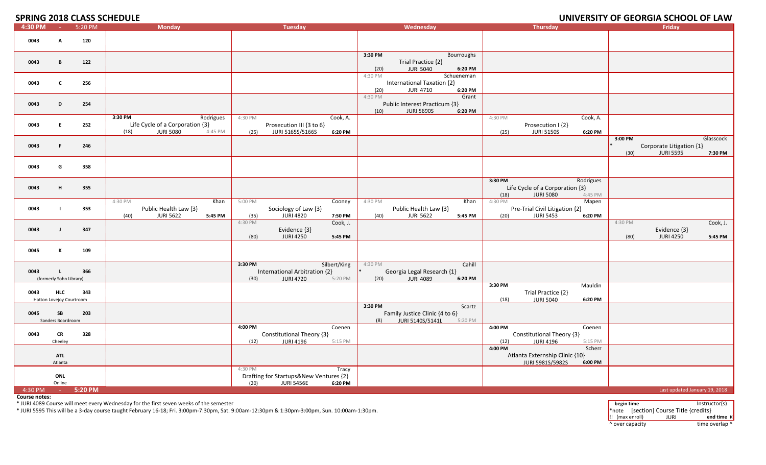**SPRING 2018 CLASS SCHEDLILE** 

### **2018 CLASS SCHEDULE UNIVERSITY OF GEORGIA SCHOOL OF LAW**

| JI INING ZUID CLAJJ JCI ILDULL |                                        |         |                                                                                                |                                                                                                    |                                                                                            |                                                                                                | <u>UNIVERSITI UI ULURUMUA SUIIUUL UI LANI</u>                                           |
|--------------------------------|----------------------------------------|---------|------------------------------------------------------------------------------------------------|----------------------------------------------------------------------------------------------------|--------------------------------------------------------------------------------------------|------------------------------------------------------------------------------------------------|-----------------------------------------------------------------------------------------|
| 4:30 PM                        | $\sim 10^{-1}$                         | 5:20 PM | <b>Monday</b>                                                                                  | <b>Tuesday</b>                                                                                     | Wednesday                                                                                  | <b>Thursday</b>                                                                                | <b>Friday</b>                                                                           |
| 0043                           | A                                      | 120     |                                                                                                |                                                                                                    |                                                                                            |                                                                                                |                                                                                         |
| 0043                           | B                                      | 122     |                                                                                                |                                                                                                    | 3:30 PM<br>Bourroughs<br>Trial Practice {2}<br>(20)<br><b>JURI 5040</b><br>6:20 PM         |                                                                                                |                                                                                         |
| 0043                           | C                                      | 256     |                                                                                                |                                                                                                    | Schueneman<br>4:30 PM<br>International Taxation {2}<br><b>JURI 4710</b><br>6:20 PM<br>(20) |                                                                                                |                                                                                         |
| 0043                           | D                                      | 254     |                                                                                                |                                                                                                    | 4:30 PM<br>Grant<br>Public Interest Practicum {3}<br><b>JURI 5690S</b><br>6:20 PM<br>(10)  |                                                                                                |                                                                                         |
| 0043                           | E.                                     | 252     | 3:30 PM<br>Rodrigues<br>Life Cycle of a Corporation {3}<br><b>JURI 5080</b><br>(18)<br>4:45 PM | 4:30 PM<br>Cook, A.<br>Prosecution III {3 to 6}<br>JURI 5165S/5166S<br>(25)<br>6:20 PM             |                                                                                            | 4:30 PM<br>Cook, A.<br>Prosecution I {2}<br><b>JURI 5150S</b><br>(25)<br>6:20 PM               |                                                                                         |
| 0043                           | F.                                     | 246     |                                                                                                |                                                                                                    |                                                                                            |                                                                                                | 3:00 PM<br>Glasscock<br>Corporate Litigation {1}<br><b>JURI 5595</b><br>(30)<br>7:30 PM |
| 0043                           | G                                      | 358     |                                                                                                |                                                                                                    |                                                                                            |                                                                                                |                                                                                         |
| 0043                           | H                                      | 355     |                                                                                                |                                                                                                    |                                                                                            | 3:30 PM<br>Rodrigues<br>Life Cycle of a Corporation {3}<br><b>JURI 5080</b><br>(18)<br>4:45 PM |                                                                                         |
| 0043                           |                                        | 353     | Khan<br>4:30 PM<br>Public Health Law {3}<br>(40)<br><b>JURI 5622</b><br>5:45 PM                | 5:00 PM<br>Cooney<br>Sociology of Law {3}<br><b>JURI 4820</b><br>(35)<br>7:50 PM                   | 4:30 PM<br>Khan<br>Public Health Law {3}<br>(40)<br><b>JURI 5622</b><br>5:45 PM            | 4:30 PM<br>Mapen<br>Pre-Trial Civil Litigation {2}<br><b>JURI 5453</b><br>6:20 PM<br>(20)      |                                                                                         |
| 0043                           | $\mathbf{I}$                           | 347     |                                                                                                | 4:30 PM<br>Cook, J.<br>Evidence {3}<br>(80)<br><b>JURI 4250</b><br>5:45 PM                         |                                                                                            |                                                                                                | 4:30 PM<br>Cook, J.<br>Evidence {3}<br><b>JURI 4250</b><br>(80)<br>5:45 PM              |
| 0045                           | K                                      | 109     |                                                                                                |                                                                                                    |                                                                                            |                                                                                                |                                                                                         |
| 0043                           | τ.<br>(formerly Sohn Library)          | 366     |                                                                                                | 3:30 PM<br>Silbert/King<br>International Arbitration {2}<br>(30)<br><b>JURI 4720</b><br>5:20 PM    | 4:30 PM<br>Cahill<br>Georgia Legal Research {1}<br><b>JURI 4089</b><br>6:20 PM<br>(20)     |                                                                                                |                                                                                         |
| 0043                           | <b>HLC</b><br>Hatton Lovejoy Courtroom | 343     |                                                                                                |                                                                                                    |                                                                                            | 3:30 PM<br>Mauldin<br>Trial Practice {2}<br>(18)<br><b>JURI 5040</b><br>6:20 PM                |                                                                                         |
| 0045                           | SB<br>Sanders Boardroom                | 203     |                                                                                                |                                                                                                    | 3:30 PM<br>Scartz<br>Family Justice Clinic {4 to 6}<br>JURI 5140S/5141L<br>(8)<br>5:20 PM  |                                                                                                |                                                                                         |
| 0043                           | CR<br>Cheeley                          | 328     |                                                                                                | Coenen<br>4:00 PM<br>Constitutional Theory {3}<br><b>JURI 4196</b><br>(12)<br>5:15 PM              |                                                                                            | 4:00 PM<br>Coenen<br>Constitutional Theory {3}<br><b>JURI 4196</b><br>(12)<br>5:15 PM          |                                                                                         |
|                                | <b>ATL</b><br>Atlanta                  |         |                                                                                                |                                                                                                    |                                                                                            | 4:00 PM<br>Scherr<br>Atlanta Externship Clinic {10}<br>JURI 5981S/5982S<br>6:00 PM             |                                                                                         |
|                                | ONL<br>Online                          |         |                                                                                                | 4:30 PM<br>Tracy<br>Drafting for Startups&New Ventures {2}<br>(20)<br><b>JURI 5456E</b><br>6:20 PM |                                                                                            |                                                                                                |                                                                                         |
| 4:30 PM                        | <b>Contract</b>                        | 5:20 PM |                                                                                                |                                                                                                    |                                                                                            |                                                                                                | Last updated January 19, 2018                                                           |

**Course notes:**

\* JURI 4089 Course will meet every Wednesday for the first seven weeks of the semester **begin time** Instructor(s)

\* JURI 5595 This will be <sup>a</sup> 3‐day course taught February 16‐18; Fri. 3:00pm‐7:30pm, Sat. 9:00am‐12:30pm & 1:30pm‐3:00pm, Sun. 10:00am‐1:30pm. \*note [section] Course Title {credits}

!! (max enroll) JURI **end time ¤** ^ over capacity dime overlap ^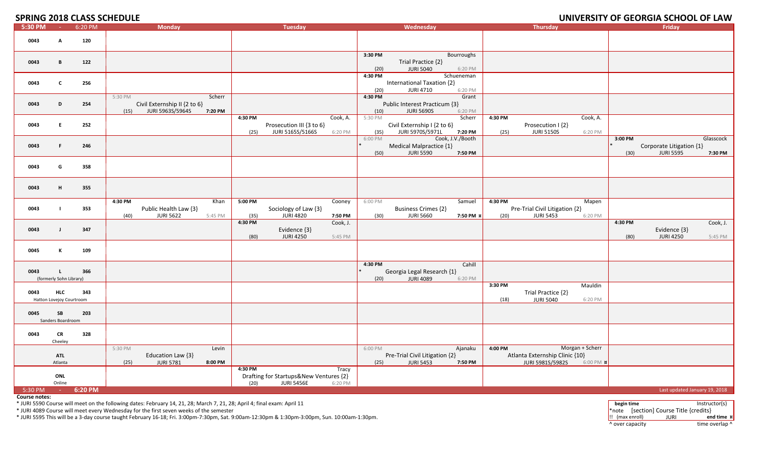**SPRING 2018 CLASS SCHEDULE** 

## **2018 CLASS SCHEDULE UNIVERSITY OF GEORGIA SCHOOL OF LAW**

| .       |                          | 6:20 PM |         |                              |         |         |                                        |          |         |                                |                  |         |                                |                    |         | Friday                        |           |
|---------|--------------------------|---------|---------|------------------------------|---------|---------|----------------------------------------|----------|---------|--------------------------------|------------------|---------|--------------------------------|--------------------|---------|-------------------------------|-----------|
| 5:30 PM | <b>Contact Contact</b>   |         |         | <b>Monday</b>                |         |         | <b>Tuesday</b>                         |          |         | Wednesday                      |                  |         | Thursday                       |                    |         |                               |           |
|         |                          |         |         |                              |         |         |                                        |          |         |                                |                  |         |                                |                    |         |                               |           |
| 0043    | A                        | 120     |         |                              |         |         |                                        |          |         |                                |                  |         |                                |                    |         |                               |           |
|         |                          |         |         |                              |         |         |                                        |          |         |                                |                  |         |                                |                    |         |                               |           |
|         |                          |         |         |                              |         |         |                                        |          | 3:30 PM |                                | Bourroughs       |         |                                |                    |         |                               |           |
| 0043    | B                        | 122     |         |                              |         |         |                                        |          |         | Trial Practice {2}             |                  |         |                                |                    |         |                               |           |
|         |                          |         |         |                              |         |         |                                        |          | (20)    | <b>JURI 5040</b>               | 6:20 PM          |         |                                |                    |         |                               |           |
|         |                          |         |         |                              |         |         |                                        |          | 4:30 PM |                                | Schueneman       |         |                                |                    |         |                               |           |
|         |                          |         |         |                              |         |         |                                        |          |         |                                |                  |         |                                |                    |         |                               |           |
| 0043    | C                        | 256     |         |                              |         |         |                                        |          |         | International Taxation {2}     |                  |         |                                |                    |         |                               |           |
|         |                          |         |         |                              |         |         |                                        |          | (20)    | <b>JURI 4710</b>               | 6:20 PM          |         |                                |                    |         |                               |           |
|         |                          |         | 5:30 PM |                              | Scherr  |         |                                        |          | 4:30 PM |                                | Grant            |         |                                |                    |         |                               |           |
| 0043    | D                        | 254     |         | Civil Externship II {2 to 6} |         |         |                                        |          |         | Public Interest Practicum {3}  |                  |         |                                |                    |         |                               |           |
|         |                          |         | (15)    | JURI 5963S/5964S             | 7:20 PM |         |                                        |          | (10)    | <b>JURI 5690S</b>              | 6:20 PM          |         |                                |                    |         |                               |           |
|         |                          |         |         |                              |         | 4:30 PM |                                        | Cook, A. | 5:30 PM |                                | Scherr           | 4:30 PM |                                | Cook, A.           |         |                               |           |
| 0043    | E.                       | 252     |         |                              |         |         | Prosecution III {3 to 6}               |          |         | Civil Externship I {2 to 6}    |                  |         | Prosecution I {2}              |                    |         |                               |           |
|         |                          |         |         |                              |         |         |                                        |          |         |                                |                  |         |                                |                    |         |                               |           |
|         |                          |         |         |                              |         | (25)    | JURI 5165S/5166S                       | 6:20 PM  | (35)    | JURI 5970S/5971L               | 7:20 PM          | (25)    | <b>JURI 5150S</b>              | 6:20 PM            |         |                               |           |
|         |                          |         |         |                              |         |         |                                        |          | 6:00 PM |                                | Cook, J.V./Booth |         |                                |                    | 3:00 PM |                               | Glasscock |
| 0043    | F.                       | 246     |         |                              |         |         |                                        |          |         | Medical Malpractice {1}        |                  |         |                                |                    |         | Corporate Litigation {1}      |           |
|         |                          |         |         |                              |         |         |                                        |          | (50)    | <b>JURI 5590</b>               | 7:50 PM          |         |                                |                    | (30)    | <b>JURI 5595</b>              | 7:30 PM   |
|         |                          |         |         |                              |         |         |                                        |          |         |                                |                  |         |                                |                    |         |                               |           |
| 0043    | G                        | 358     |         |                              |         |         |                                        |          |         |                                |                  |         |                                |                    |         |                               |           |
|         |                          |         |         |                              |         |         |                                        |          |         |                                |                  |         |                                |                    |         |                               |           |
|         |                          |         |         |                              |         |         |                                        |          |         |                                |                  |         |                                |                    |         |                               |           |
|         |                          |         |         |                              |         |         |                                        |          |         |                                |                  |         |                                |                    |         |                               |           |
| 0043    | н                        | 355     |         |                              |         |         |                                        |          |         |                                |                  |         |                                |                    |         |                               |           |
|         |                          |         |         |                              |         |         |                                        |          |         |                                |                  |         |                                |                    |         |                               |           |
|         |                          |         | 4:30 PM |                              | Khan    | 5:00 PM |                                        | Cooney   | 6:00 PM |                                | Samuel           | 4:30 PM |                                | Mapen              |         |                               |           |
| 0043    |                          | 353     |         | Public Health Law {3}        |         |         | Sociology of Law {3}                   |          |         | <b>Business Crimes {2}</b>     |                  |         | Pre-Trial Civil Litigation {2} |                    |         |                               |           |
|         |                          |         | (40)    | <b>JURI 5622</b>             | 5:45 PM | (35)    | <b>JURI 4820</b>                       | 7:50 PM  | (30)    | <b>JURI 5660</b>               | 7:50 PM ¤        | (20)    | <b>JURI 5453</b>               | 6:20 PM            |         |                               |           |
|         |                          |         |         |                              |         | 4:30 PM |                                        | Cook, J. |         |                                |                  |         |                                |                    | 4:30 PM |                               | Cook, J.  |
|         |                          |         |         |                              |         |         |                                        |          |         |                                |                  |         |                                |                    |         |                               |           |
| 0043    | - 1                      | 347     |         |                              |         |         | Evidence {3}                           |          |         |                                |                  |         |                                |                    |         | Evidence {3}                  |           |
|         |                          |         |         |                              |         | (80)    | <b>JURI 4250</b>                       | 5:45 PM  |         |                                |                  |         |                                |                    | (80)    | <b>JURI 4250</b>              | 5:45 PM   |
|         |                          |         |         |                              |         |         |                                        |          |         |                                |                  |         |                                |                    |         |                               |           |
| 0045    |                          | 109     |         |                              |         |         |                                        |          |         |                                |                  |         |                                |                    |         |                               |           |
|         |                          |         |         |                              |         |         |                                        |          |         |                                |                  |         |                                |                    |         |                               |           |
|         |                          |         |         |                              |         |         |                                        |          | 4:30 PM |                                | Cahill           |         |                                |                    |         |                               |           |
| 0043    |                          | 366     |         |                              |         |         |                                        |          |         | Georgia Legal Research {1}     |                  |         |                                |                    |         |                               |           |
|         |                          |         |         |                              |         |         |                                        |          |         |                                |                  |         |                                |                    |         |                               |           |
|         | (formerly Sohn Library)  |         |         |                              |         |         |                                        |          | (20)    | <b>JURI 4089</b>               | 6:20 PM          |         |                                |                    |         |                               |           |
|         |                          |         |         |                              |         |         |                                        |          |         |                                |                  | 3:30 PM |                                | Mauldin            |         |                               |           |
| 0043    | <b>HLC</b>               | 343     |         |                              |         |         |                                        |          |         |                                |                  |         | Trial Practice {2}             |                    |         |                               |           |
|         | Hatton Lovejoy Courtroom |         |         |                              |         |         |                                        |          |         |                                |                  | (18)    | <b>JURI 5040</b>               | 6:20 PM            |         |                               |           |
|         |                          |         |         |                              |         |         |                                        |          |         |                                |                  |         |                                |                    |         |                               |           |
| 0045    | SB                       | 203     |         |                              |         |         |                                        |          |         |                                |                  |         |                                |                    |         |                               |           |
|         | Sanders Boardroom        |         |         |                              |         |         |                                        |          |         |                                |                  |         |                                |                    |         |                               |           |
|         |                          |         |         |                              |         |         |                                        |          |         |                                |                  |         |                                |                    |         |                               |           |
|         |                          |         |         |                              |         |         |                                        |          |         |                                |                  |         |                                |                    |         |                               |           |
| 0043    | <b>CR</b>                | 328     |         |                              |         |         |                                        |          |         |                                |                  |         |                                |                    |         |                               |           |
|         | Cheeley                  |         |         |                              |         |         |                                        |          |         |                                |                  |         |                                |                    |         |                               |           |
|         |                          |         | 5:30 PM |                              | Levin   |         |                                        |          | 6:00 PM |                                | Ajanaku          | 4:00 PM |                                | Morgan + Scherr    |         |                               |           |
|         | <b>ATL</b>               |         |         | Education Law {3}            |         |         |                                        |          |         | Pre-Trial Civil Litigation {2} |                  |         | Atlanta Externship Clinic {10} |                    |         |                               |           |
|         | Atlanta                  |         | (25)    | <b>JURI 5781</b>             | 8:00 PM |         |                                        |          | (25)    | <b>JURI 5453</b>               | 7:50 PM          |         | JURI 5981S/5982S               | $6:00$ PM $\bm{x}$ |         |                               |           |
|         |                          |         |         |                              |         | 4:30 PM |                                        | Tracy    |         |                                |                  |         |                                |                    |         |                               |           |
|         | ONL                      |         |         |                              |         |         | Drafting for Startups&New Ventures {2} |          |         |                                |                  |         |                                |                    |         |                               |           |
|         | Online                   |         |         |                              |         | (20)    | <b>JURI 5456E</b>                      | 6:20 PM  |         |                                |                  |         |                                |                    |         |                               |           |
|         |                          |         |         |                              |         |         |                                        |          |         |                                |                  |         |                                |                    |         |                               |           |
| 5:30 PM | $\sim 100$               | 6:20 PM |         |                              |         |         |                                        |          |         |                                |                  |         |                                |                    |         | Last updated January 19, 2018 |           |

**Course notes:**

\* JURI 5590 Course will meet on the following dates: February 14, 21, 28; March 7, 21, 28; April 4; final exam: April <sup>11</sup>

\* JURI 4089 Course will meet every Wednesday for the first seven weeks of the semester

\* JURI 5595 This will be <sup>a</sup> <sup>3</sup>‐day course taught February <sup>16</sup>‐18; Fri. 3:00pm‐7:30pm, Sat. 9:00am‐12:30pm & 1:30pm‐3:00pm, Sun. 10:00am‐1:30pm. !! (max enroll) JURI **end time ¤**

**begin time** Instructor(s) \*note [section] Course Title {credits} ^ over capacity dime overlap ^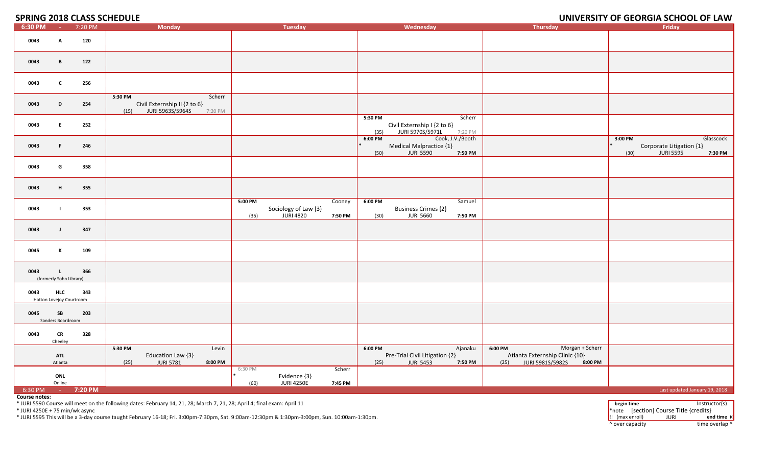**SPRING 2018 CLASS SCHEDULE** 

## **2018 CLASS SCHEDULE UNIVERSITY OF GEORGIA SCHOOL OF LAW**

| 6:30 PM           | <b>Contract</b>                         | 7:20 PM | <b>Monday</b>                                                                         | <b>Tuesday</b>                                                                   | Wednesday                                                                                       | Thursday                                                                                              | Friday                                                                                  |
|-------------------|-----------------------------------------|---------|---------------------------------------------------------------------------------------|----------------------------------------------------------------------------------|-------------------------------------------------------------------------------------------------|-------------------------------------------------------------------------------------------------------|-----------------------------------------------------------------------------------------|
| 0043              | A                                       | 120     |                                                                                       |                                                                                  |                                                                                                 |                                                                                                       |                                                                                         |
| 0043              | B                                       | 122     |                                                                                       |                                                                                  |                                                                                                 |                                                                                                       |                                                                                         |
| 0043              | $\mathbf{c}$                            | 256     |                                                                                       |                                                                                  |                                                                                                 |                                                                                                       |                                                                                         |
| 0043              | D                                       | 254     | 5:30 PM<br>Scherr<br>Civil Externship II {2 to 6}<br>(15) JURI 5963S/5964S<br>7:20 PM |                                                                                  |                                                                                                 |                                                                                                       |                                                                                         |
| 0043              | E.                                      | 252     |                                                                                       |                                                                                  | 5:30 PM<br>Scherr<br>Civil Externship I {2 to 6}<br>JURI 5970S/5971L<br>(35)<br>7:20 PM         |                                                                                                       |                                                                                         |
| 0043              | F.                                      | 246     |                                                                                       |                                                                                  | Cook, J.V./Booth<br>$6:00$ PM<br>Medical Malpractice {1}<br><b>JURI 5590</b><br>(50)<br>7:50 PM |                                                                                                       | 3:00 PM<br>Glasscock<br>Corporate Litigation {1}<br><b>JURI 5595</b><br>(30)<br>7:30 PM |
| 0043              | G                                       | 358     |                                                                                       |                                                                                  |                                                                                                 |                                                                                                       |                                                                                         |
| 0043              | H                                       | 355     |                                                                                       |                                                                                  |                                                                                                 |                                                                                                       |                                                                                         |
| 0043              |                                         | 353     |                                                                                       | 5:00 PM<br>Cooney<br>Sociology of Law {3}<br><b>JURI 4820</b><br>(35)<br>7:50 PM | 6:00 PM<br>Samuel<br><b>Business Crimes {2}</b><br><b>JURI 5660</b><br>(30)<br>7:50 PM          |                                                                                                       |                                                                                         |
| 0043              | - 1                                     | 347     |                                                                                       |                                                                                  |                                                                                                 |                                                                                                       |                                                                                         |
| 0045              | K                                       | 109     |                                                                                       |                                                                                  |                                                                                                 |                                                                                                       |                                                                                         |
| 0043              | $\mathbf{L}$<br>(formerly Sohn Library) | 366     |                                                                                       |                                                                                  |                                                                                                 |                                                                                                       |                                                                                         |
| 0043              | <b>HLC</b><br>Hatton Lovejoy Courtroom  | 343     |                                                                                       |                                                                                  |                                                                                                 |                                                                                                       |                                                                                         |
| 0045              | SB<br>Sanders Boardroom                 | 203     |                                                                                       |                                                                                  |                                                                                                 |                                                                                                       |                                                                                         |
| 0043              | <b>CR</b><br>Cheeley                    | 328     |                                                                                       |                                                                                  |                                                                                                 |                                                                                                       |                                                                                         |
|                   | <b>ATL</b><br>Atlanta                   |         | 5:30 PM<br>Levin<br>Education Law {3}<br><b>JURI 5781</b><br>8:00 PM<br>(25)          |                                                                                  | $6:00$ PM<br>Ajanaku<br>Pre-Trial Civil Litigation {2}<br><b>JURI 5453</b><br>7:50 PM<br>(25)   | $6:00$ PM<br>Morgan + Scherr<br>Atlanta Externship Clinic {10}<br>JURI 5981S/5982S<br>8:00 PM<br>(25) |                                                                                         |
|                   | ONL<br>Online                           |         |                                                                                       | Scherr<br>6:30 PM<br>Evidence {3}<br><b>JURI 4250E</b><br>(60)<br>7:45 PM        |                                                                                                 |                                                                                                       |                                                                                         |
| 6:30 PM - 7:20 PM |                                         |         |                                                                                       |                                                                                  |                                                                                                 |                                                                                                       | Last updated January 19, 2018                                                           |

**Course notes:**

\* JURI 5590 Course will meet on the following dates: February 14, 21, 28; March 7, 21, 28; April 4; final exam: April 11

\* JURI 4250E <sup>+</sup> <sup>75</sup> min/wk async

\* JURI 5595 This will be <sup>a</sup> <sup>3</sup>‐day course taught February <sup>16</sup>‐18; Fri. 3:00pm‐7:30pm, Sat. 9:00am‐12:30pm & 1:30pm‐3:00pm, Sun. 10:00am‐1:30pm. !! (max enroll) JURI **end time ¤**

**begin time** Instructor(s) \*note [section] Course Title {credits} ^ over capacity dime overlap ^